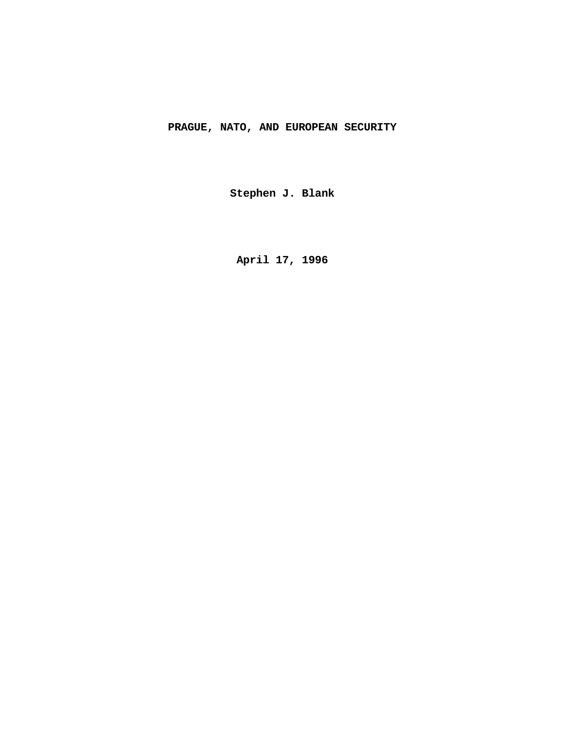# **PRAGUE, NATO, AND EUROPEAN SECURITY**

**Stephen J. Blank**

**April 17, 1996**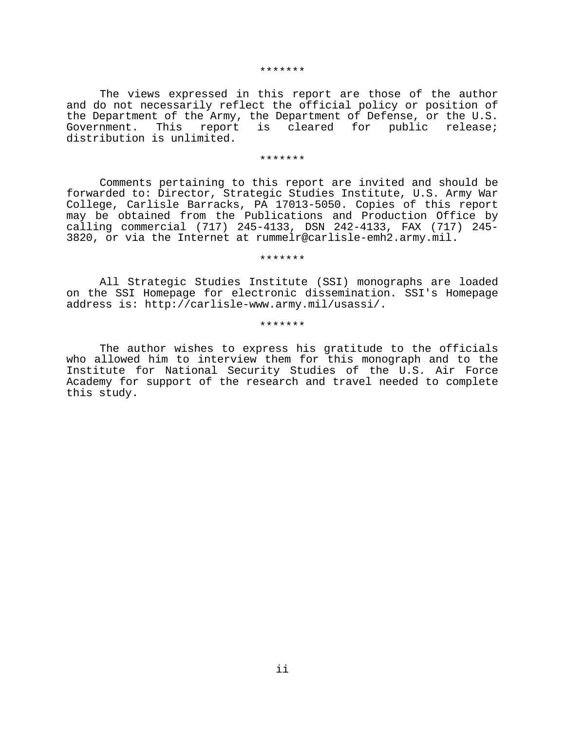#### \*\*\*\*\*\*\*

The views expressed in this report are those of the author and do not necessarily reflect the official policy or position of the Department of the Army, the Department of Defense, or the U.S. Government. This report is cleared for public release; distribution is unlimited.

#### \*\*\*\*\*\*\*

Comments pertaining to this report are invited and should be forwarded to: Director, Strategic Studies Institute, U.S. Army War College, Carlisle Barracks, PA 17013-5050. Copies of this report may be obtained from the Publications and Production Office by calling commercial (717) 245-4133, DSN 242-4133, FAX (717) 245- 3820, or via the Internet at rummelr@carlisle-emh2.army.mil.

### \*\*\*\*\*\*\*

All Strategic Studies Institute (SSI) monographs are loaded on the SSI Homepage for electronic dissemination. SSI's Homepage address is: http://carlisle-www.army.mil/usassi/.

### \*\*\*\*\*\*\*

The author wishes to express his gratitude to the officials who allowed him to interview them for this monograph and to the Institute for National Security Studies of the U.S. Air Force Academy for support of the research and travel needed to complete this study.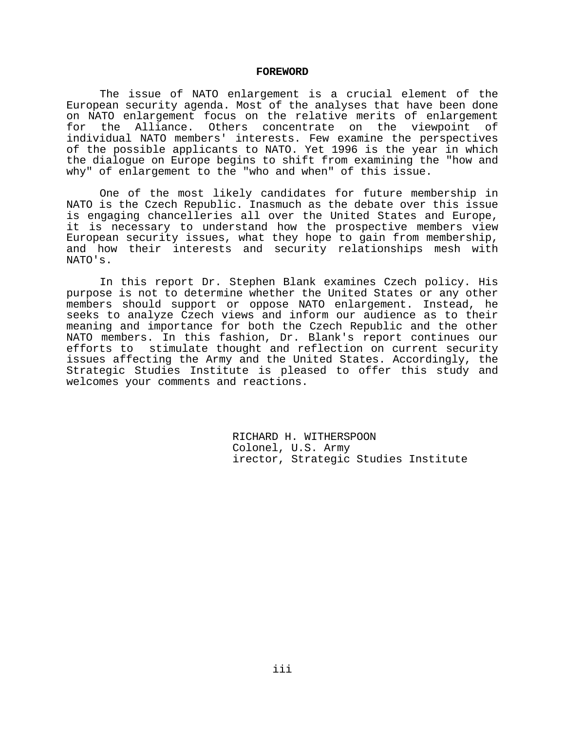#### **FOREWORD**

The issue of NATO enlargement is a crucial element of the European security agenda. Most of the analyses that have been done on NATO enlargement focus on the relative merits of enlargement for the Alliance. Others concentrate on the viewpoint of individual NATO members' interests. Few examine the perspectives of the possible applicants to NATO. Yet 1996 is the year in which the dialogue on Europe begins to shift from examining the "how and why" of enlargement to the "who and when" of this issue.

One of the most likely candidates for future membership in NATO is the Czech Republic. Inasmuch as the debate over this issue is engaging chancelleries all over the United States and Europe, it is necessary to understand how the prospective members view European security issues, what they hope to gain from membership, and how their interests and security relationships mesh with NATO's.

In this report Dr. Stephen Blank examines Czech policy. His purpose is not to determine whether the United States or any other members should support or oppose NATO enlargement. Instead, he seeks to analyze Czech views and inform our audience as to their meaning and importance for both the Czech Republic and the other NATO members. In this fashion, Dr. Blank's report continues our efforts to stimulate thought and reflection on current security issues affecting the Army and the United States. Accordingly, the Strategic Studies Institute is pleased to offer this study and welcomes your comments and reactions.

> RICHARD H. WITHERSPOON Colonel, U.S. Army irector, Strategic Studies Institute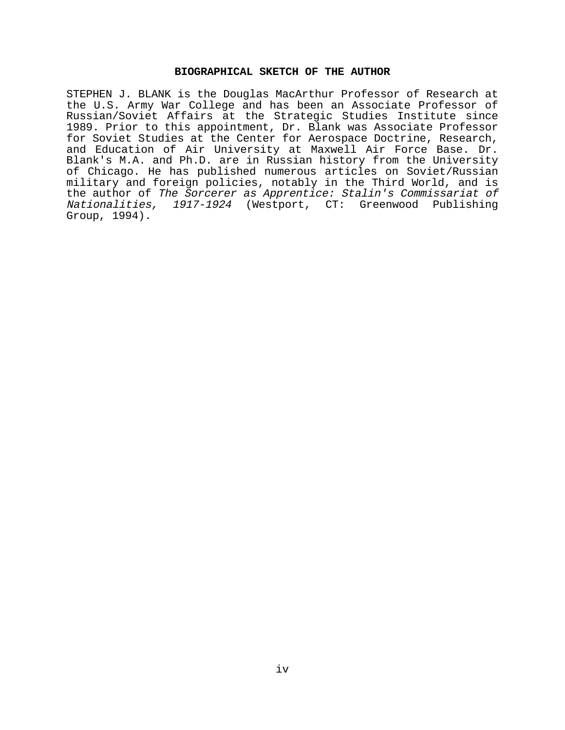# **BIOGRAPHICAL SKETCH OF THE AUTHOR**

STEPHEN J. BLANK is the Douglas MacArthur Professor of Research at the U.S. Army War College and has been an Associate Professor of Russian/Soviet Affairs at the Strategic Studies Institute since 1989. Prior to this appointment, Dr. Blank was Associate Professor for Soviet Studies at the Center for Aerospace Doctrine, Research, and Education of Air University at Maxwell Air Force Base. Dr. Blank's M.A. and Ph.D. are in Russian history from the University of Chicago. He has published numerous articles on Soviet/Russian military and foreign policies, notably in the Third World, and is the author of The Sorcerer as Apprentice: Stalin's Commissariat of Nationalities, 1917-1924 (Westport, CT: Greenwood Publishing Group, 1994).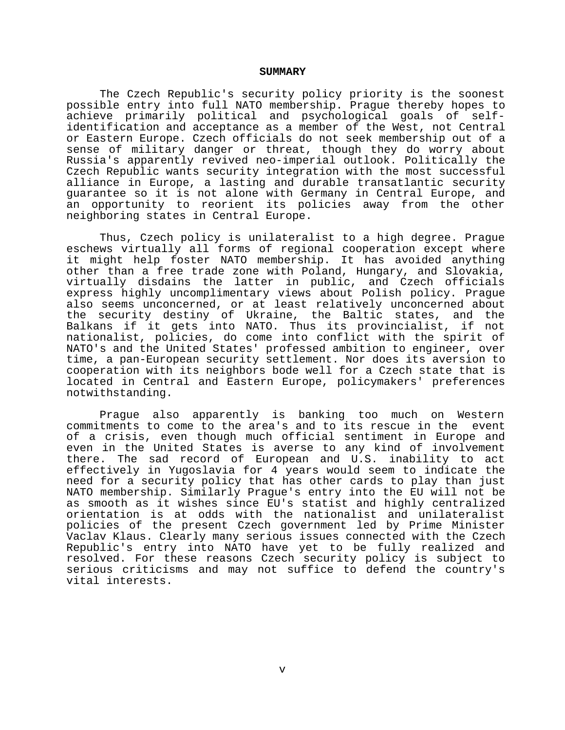#### **SUMMARY**

The Czech Republic's security policy priority is the soonest possible entry into full NATO membership. Prague thereby hopes to achieve primarily political and psychological goals of selfidentification and acceptance as a member of the West, not Central or Eastern Europe. Czech officials do not seek membership out of a sense of military danger or threat, though they do worry about Russia's apparently revived neo-imperial outlook. Politically the Czech Republic wants security integration with the most successful alliance in Europe, a lasting and durable transatlantic security guarantee so it is not alone with Germany in Central Europe, and an opportunity to reorient its policies away from the other neighboring states in Central Europe.

Thus, Czech policy is unilateralist to a high degree. Prague eschews virtually all forms of regional cooperation except where it might help foster NATO membership. It has avoided anything other than a free trade zone with Poland, Hungary, and Slovakia, virtually disdains the latter in public, and Czech officials express highly uncomplimentary views about Polish policy. Prague also seems unconcerned, or at least relatively unconcerned about the security destiny of Ukraine, the Baltic states, and the Balkans if it gets into NATO. Thus its provincialist, if not nationalist, policies, do come into conflict with the spirit of NATO's and the United States' professed ambition to engineer, over time, a pan-European security settlement. Nor does its aversion to cooperation with its neighbors bode well for a Czech state that is located in Central and Eastern Europe, policymakers' preferences notwithstanding.

Prague also apparently is banking too much on Western commitments to come to the area's and to its rescue in the event of a crisis, even though much official sentiment in Europe and even in the United States is averse to any kind of involvement there. The sad record of European and U.S. inability to act effectively in Yugoslavia for 4 years would seem to indicate the need for a security policy that has other cards to play than just NATO membership. Similarly Prague's entry into the EU will not be as smooth as it wishes since EU's statist and highly centralized orientation is at odds with the nationalist and unilateralist policies of the present Czech government led by Prime Minister Vaclav Klaus. Clearly many serious issues connected with the Czech Republic's entry into NATO have yet to be fully realized and resolved. For these reasons Czech security policy is subject to serious criticisms and may not suffice to defend the country's vital interests.

v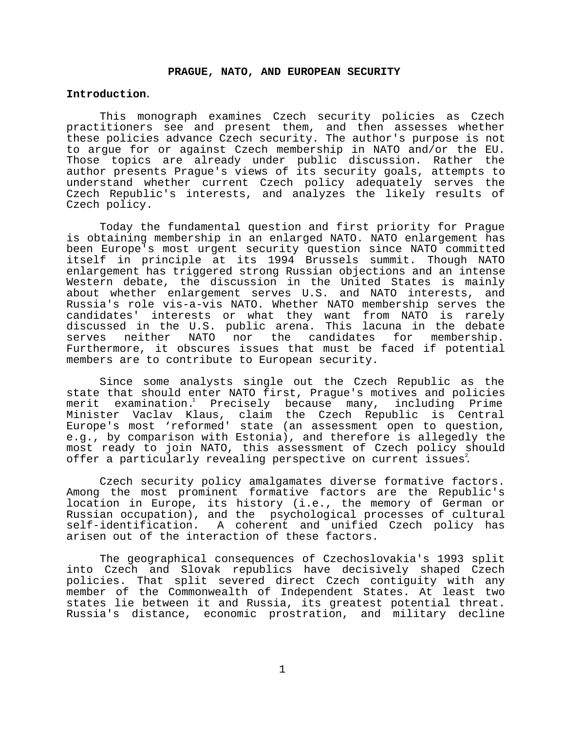### **PRAGUE, NATO, AND EUROPEAN SECURITY**

#### **Introduction**.

This monograph examines Czech security policies as Czech practitioners see and present them, and then assesses whether these policies advance Czech security. The author's purpose is not to argue for or against Czech membership in NATO and/or the EU. Those topics are already under public discussion. Rather the author presents Prague's views of its security goals, attempts to understand whether current Czech policy adequately serves the Czech Republic's interests, and analyzes the likely results of Czech policy.

Today the fundamental question and first priority for Prague is obtaining membership in an enlarged NATO. NATO enlargement has been Europe's most urgent security question since NATO committed itself in principle at its 1994 Brussels summit. Though NATO enlargement has triggered strong Russian objections and an intense Western debate, the discussion in the United States is mainly about whether enlargement serves U.S. and NATO interests, and Russia's role vis-a-vis NATO. Whether NATO membership serves the candidates' interests or what they want from NATO is rarely discussed in the U.S. public arena. This lacuna in the debate serves neither NATO nor the candidates for membership. Furthermore, it obscures issues that must be faced if potential members are to contribute to European security.

Since some analysts single out the Czech Republic as the state that should enter NATO first, Prague's motives and policies merit examination.<sup>1</sup> Precisely because many, including Prime Minister Vaclav Klaus, claim the Czech Republic is Central Europe's most 'reformed' state (an assessment open to question, e.g., by comparison with Estonia), and therefore is allegedly the most ready to join NATO, this assessment of Czech policy should offer a particularly revealing perspective on current issues.

Czech security policy amalgamates diverse formative factors. Among the most prominent formative factors are the Republic's location in Europe, its history (i.e., the memory of German or Russian occupation), and the psychological processes of cultural self-identification. A coherent and unified Czech policy has arisen out of the interaction of these factors.

The geographical consequences of Czechoslovakia's 1993 split into Czech and Slovak republics have decisively shaped Czech policies. That split severed direct Czech contiguity with any member of the Commonwealth of Independent States. At least two states lie between it and Russia, its greatest potential threat. Russia's distance, economic prostration, and military decline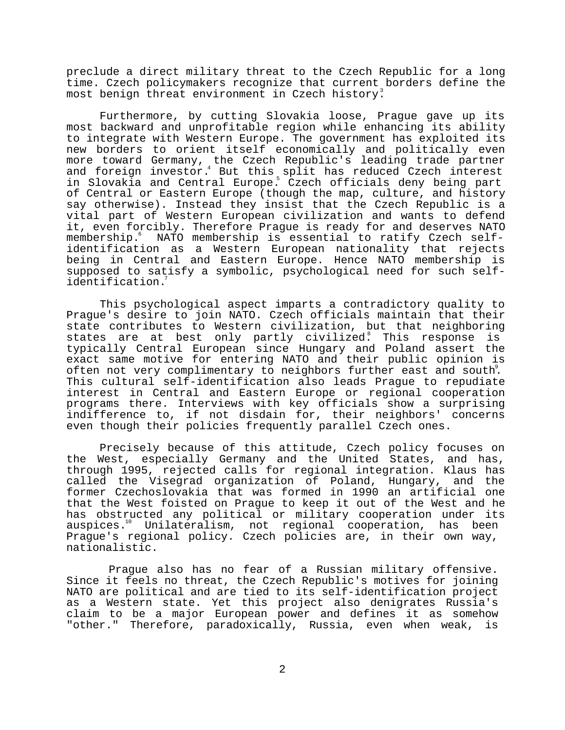preclude a direct military threat to the Czech Republic for a long time. Czech policymakers recognize that current borders define the most benign threat environment in Czech history.

Furthermore, by cutting Slovakia loose, Prague gave up its most backward and unprofitable region while enhancing its ability to integrate with Western Europe. The government has exploited its new borders to orient itself economically and politically even more toward Germany, the Czech Republic's leading trade partner and foreign investor.<sup>4</sup> But this split has reduced Czech interest in Slovakia and Central Europe.5 Czech officials deny being part of Central or Eastern Europe (though the map, culture, and history say otherwise). Instead they insist that the Czech Republic is a vital part of Western European civilization and wants to defend it, even forcibly. Therefore Prague is ready for and deserves NATO membership. NATO membership is essential to ratify Czech selfidentification as a Western European nationality that rejects being in Central and Eastern Europe. Hence NATO membership is supposed to satisfy a symbolic, psychological need for such selfidentification.7

This psychological aspect imparts a contradictory quality to Prague's desire to join NATO. Czech officials maintain that their state contributes to Western civilization, but that neighboring states are at best only partly civilized. This response is typically Central European since Hungary and Poland assert the exact same motive for entering NATO and their public opinion is often not very complimentary to neighbors further east and south<sup>2</sup>. This cultural self-identification also leads Prague to repudiate interest in Central and Eastern Europe or regional cooperation programs there. Interviews with key officials show a surprising indifference to, if not disdain for, their neighbors' concerns even though their policies frequently parallel Czech ones.

Precisely because of this attitude, Czech policy focuses on the West, especially Germany and the United States, and has, through 1995, rejected calls for regional integration. Klaus has called the Visegrad organization of Poland, Hungary, and the former Czechoslovakia that was formed in 1990 an artificial one that the West foisted on Prague to keep it out of the West and he has obstructed any political or military cooperation under its auspices.10 Unilateralism, not regional cooperation, has been Prague's regional policy. Czech policies are, in their own way, nationalistic.

 Prague also has no fear of a Russian military offensive. Since it feels no threat, the Czech Republic's motives for joining NATO are political and are tied to its self-identification project as a Western state. Yet this project also denigrates Russia's claim to be a major European power and defines it as somehow "other." Therefore, paradoxically, Russia, even when weak, is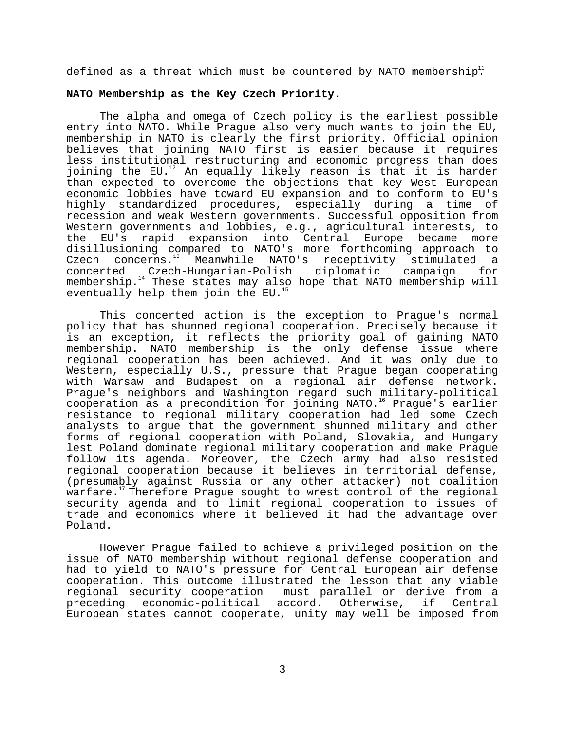defined as a threat which must be countered by NATO membership.<sup>11</sup>

### **NATO Membership as the Key Czech Priority**.

The alpha and omega of Czech policy is the earliest possible entry into NATO. While Prague also very much wants to join the EU, membership in NATO is clearly the first priority. Official opinion believes that joining NATO first is easier because it requires less institutional restructuring and economic progress than does joining the EU.<sup>12</sup> An equally likely reason is that it is harder than expected to overcome the objections that key West European economic lobbies have toward EU expansion and to conform to EU's highly standardized procedures, especially during a time of recession and weak Western governments. Successful opposition from Western governments and lobbies, e.g., agricultural interests, to the EU's rapid expansion into Central Europe became more disillusioning compared to NATO's more forthcoming approach to Czech concerns.<sup>13</sup> Meanwhile NATO's receptivity stimulated a concerted Czech-Hungarian-Polish diplomatic campaign for membership.14 These states may also hope that NATO membership will eventually help them join the  $EU.$ <sup>1</sup>

This concerted action is the exception to Prague's normal policy that has shunned regional cooperation. Precisely because it is an exception, it reflects the priority goal of gaining NATO membership. NATO membership is the only defense issue where regional cooperation has been achieved. And it was only due to Western, especially U.S., pressure that Prague began cooperating with Warsaw and Budapest on a regional air defense network. Prague's neighbors and Washington regard such military-political cooperation as a precondition for joining NATO.16 Prague's earlier resistance to regional military cooperation had led some Czech analysts to argue that the government shunned military and other forms of regional cooperation with Poland, Slovakia, and Hungary lest Poland dominate regional military cooperation and make Prague follow its agenda. Moreover, the Czech army had also resisted regional cooperation because it believes in territorial defense, (presumably against Russia or any other attacker) not coalition warfare.<sup>17</sup> Therefore Praque sought to wrest control of the regional security agenda and to limit regional cooperation to issues of trade and economics where it believed it had the advantage over Poland.

However Prague failed to achieve a privileged position on the issue of NATO membership without regional defense cooperation and had to yield to NATO's pressure for Central European air defense cooperation. This outcome illustrated the lesson that any viable regional security cooperation must parallel or derive from a preceding economic-political accord. Otherwise, if Central European states cannot cooperate, unity may well be imposed from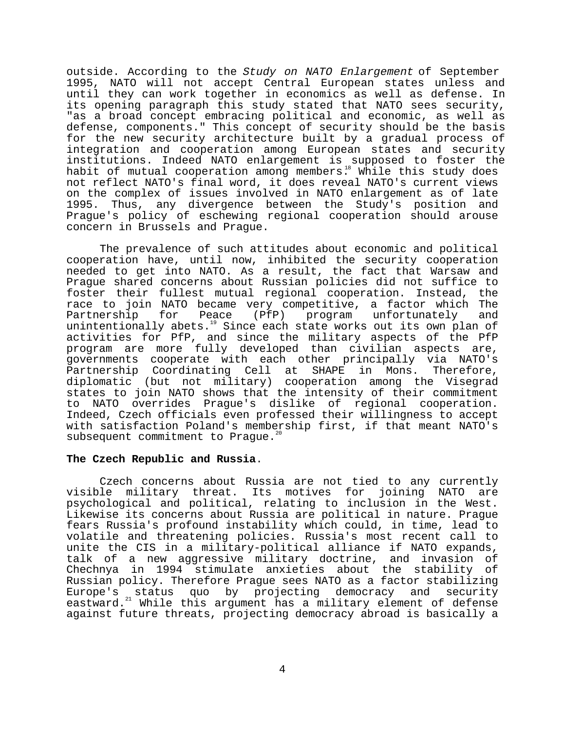outside. According to the Study on NATO Enlargement of September 1995, NATO will not accept Central European states unless and until they can work together in economics as well as defense. In its opening paragraph this study stated that NATO sees security, "as a broad concept embracing political and economic, as well as defense, components." This concept of security should be the basis for the new security architecture built by a gradual process of integration and cooperation among European states and security institutions. Indeed NATO enlargement is supposed to foster the habit of mutual cooperation among members.<sup>18</sup> While this study does not reflect NATO's final word, it does reveal NATO's current views on the complex of issues involved in NATO enlargement as of late 1995. Thus, any divergence between the Study's position and Prague's policy of eschewing regional cooperation should arouse concern in Brussels and Prague.

The prevalence of such attitudes about economic and political cooperation have, until now, inhibited the security cooperation needed to get into NATO. As a result, the fact that Warsaw and Prague shared concerns about Russian policies did not suffice to foster their fullest mutual regional cooperation. Instead, the race to join NATO became very competitive, a factor which The Partnership for Peace (PfP) program unfortunately and unintentionally abets.<sup>19</sup> Since each state works out its own plan of activities for PfP, and since the military aspects of the PfP program are more fully developed than civilian aspects are, governments cooperate with each other principally via NATO's Partnership Coordinating Cell at SHAPE in Mons. Therefore, diplomatic (but not military) cooperation among the Visegrad states to join NATO shows that the intensity of their commitment to NATO overrides Prague's dislike of regional cooperation. Indeed, Czech officials even professed their willingness to accept with satisfaction Poland's membership first, if that meant NATO's subsequent commitment to Praque.<sup>2</sup>

### **The Czech Republic and Russia**.

Czech concerns about Russia are not tied to any currently visible military threat. Its motives for joining NATO are psychological and political, relating to inclusion in the West. Likewise its concerns about Russia are political in nature. Prague fears Russia's profound instability which could, in time, lead to volatile and threatening policies. Russia's most recent call to unite the CIS in a military-political alliance if NATO expands, talk of a new aggressive military doctrine, and invasion of Chechnya in 1994 stimulate anxieties about the stability of Russian policy. Therefore Prague sees NATO as a factor stabilizing Europe's status quo by projecting democracy and security eastward.<sup>21</sup> While this argument has a military element of defense against future threats, projecting democracy abroad is basically a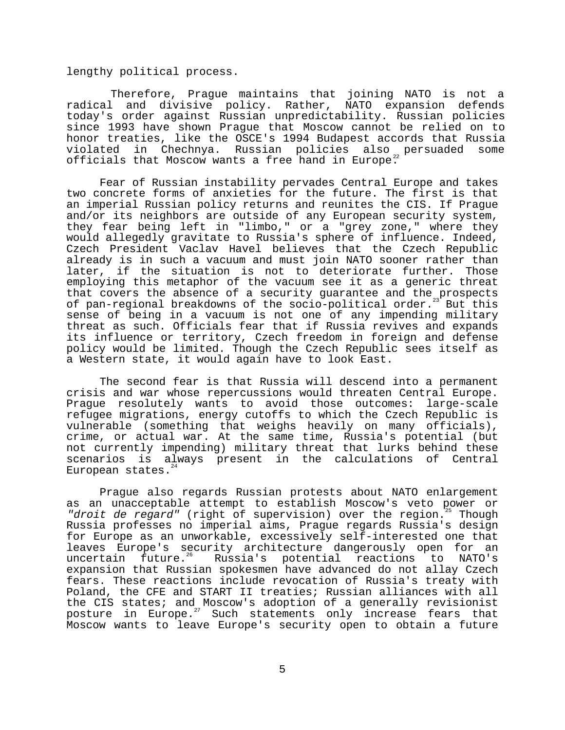lengthy political process.

 Therefore, Prague maintains that joining NATO is not a radical and divisive policy. Rather, NATO expansion defends today's order against Russian unpredictability. Russian policies since 1993 have shown Prague that Moscow cannot be relied on to honor treaties, like the OSCE's 1994 Budapest accords that Russia violated in Chechnya. Russian policies also persuaded some officials that Moscow wants a free hand in Europe.<sup>22</sup>

Fear of Russian instability pervades Central Europe and takes two concrete forms of anxieties for the future. The first is that an imperial Russian policy returns and reunites the CIS. If Prague and/or its neighbors are outside of any European security system, they fear being left in "limbo," or a "grey zone," where they would allegedly gravitate to Russia's sphere of influence. Indeed, Czech President Vaclav Havel believes that the Czech Republic already is in such a vacuum and must join NATO sooner rather than later, if the situation is not to deteriorate further. Those employing this metaphor of the vacuum see it as a generic threat that covers the absence of a security guarantee and the prospects of pan-regional breakdowns of the socio-political order.<sup>23</sup> But this sense of being in a vacuum is not one of any impending military threat as such. Officials fear that if Russia revives and expands its influence or territory, Czech freedom in foreign and defense policy would be limited. Though the Czech Republic sees itself as a Western state, it would again have to look East.

The second fear is that Russia will descend into a permanent crisis and war whose repercussions would threaten Central Europe. Prague resolutely wants to avoid those outcomes: large-scale refugee migrations, energy cutoffs to which the Czech Republic is vulnerable (something that weighs heavily on many officials), crime, or actual war. At the same time, Russia's potential (but not currently impending) military threat that lurks behind these scenarios is always present in the calculations of Central European states. $24$ 

Prague also regards Russian protests about NATO enlargement as an unacceptable attempt to establish Moscow's veto power or "droit de regard" (right of supervision) over the region. $^{25}$  Though Russia professes no imperial aims, Prague regards Russia's design for Europe as an unworkable, excessively self-interested one that leaves Europe's security architecture dangerously open for an uncertain future.<sup>26</sup> Russia's potential reactions to NATO's Russia's potential reactions to NATO's expansion that Russian spokesmen have advanced do not allay Czech fears. These reactions include revocation of Russia's treaty with Poland, the CFE and START II treaties; Russian alliances with all the CIS states; and Moscow's adoption of a generally revisionist posture in Europe.27 Such statements only increase fears that Moscow wants to leave Europe's security open to obtain a future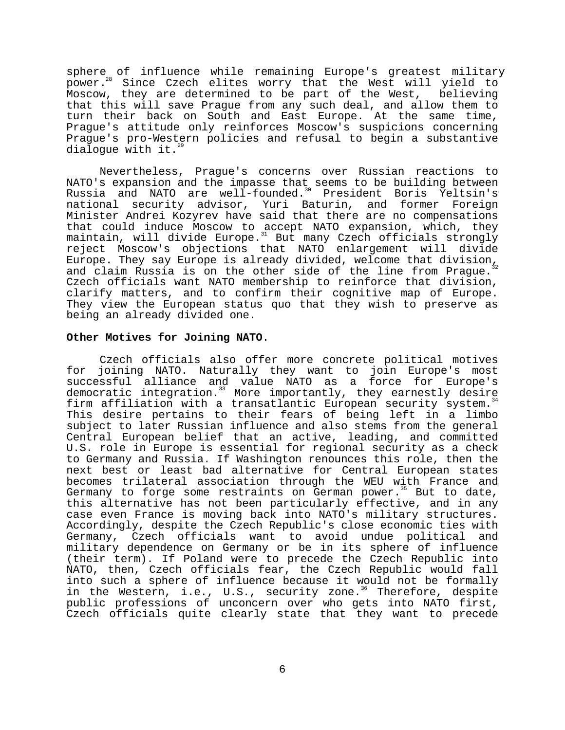sphere of influence while remaining Europe's greatest military power.28 Since Czech elites worry that the West will yield to Moscow, they are determined to be part of the West, believing that this will save Prague from any such deal, and allow them to turn their back on South and East Europe. At the same time, Prague's attitude only reinforces Moscow's suspicions concerning Prague's pro-Western policies and refusal to begin a substantive dialoque with it. $^{29}$ 

Nevertheless, Prague's concerns over Russian reactions to NATO's expansion and the impasse that seems to be building between Russia and NATO are well-founded.<sup>30</sup> President Boris Yeltsin's national security advisor, Yuri Baturin, and former Foreign Minister Andrei Kozyrev have said that there are no compensations that could induce Moscow to accept NATO expansion, which, they maintain, will divide Europe. $^{\text{31}}$  But many Czech officials strongly reject Moscow's objections that NATO enlargement will divide Europe. They say Europe is already divided, welcome that division<sub>12</sub> and claim Russia is on the other side of the line from Praque. Czech officials want NATO membership to reinforce that division, clarify matters, and to confirm their cognitive map of Europe. They view the European status quo that they wish to preserve as being an already divided one.

#### **Other Motives for Joining NATO**.

Czech officials also offer more concrete political motives for joining NATO. Naturally they want to join Europe's most successful alliance and value NATO as a force for Europe's democratic integration.<sup>33</sup> More importantly, they earnestly desire firm affiliation with a transatlantic European security system.<sup>34</sup> This desire pertains to their fears of being left in a limbo subject to later Russian influence and also stems from the general Central European belief that an active, leading, and committed U.S. role in Europe is essential for regional security as a check to Germany and Russia. If Washington renounces this role, then the next best or least bad alternative for Central European states becomes trilateral association through the WEU with France and Germany to forge some restraints on German power.<sup>35</sup> But to date, this alternative has not been particularly effective, and in any case even France is moving back into NATO's military structures. Accordingly, despite the Czech Republic's close economic ties with Germany, Czech officials want to avoid undue political and military dependence on Germany or be in its sphere of influence (their term). If Poland were to precede the Czech Republic into NATO, then, Czech officials fear, the Czech Republic would fall into such a sphere of influence because it would not be formally in the Western, i.e., U.S., security zone.<sup>36</sup> Therefore, despite public professions of unconcern over who gets into NATO first, Czech officials quite clearly state that they want to precede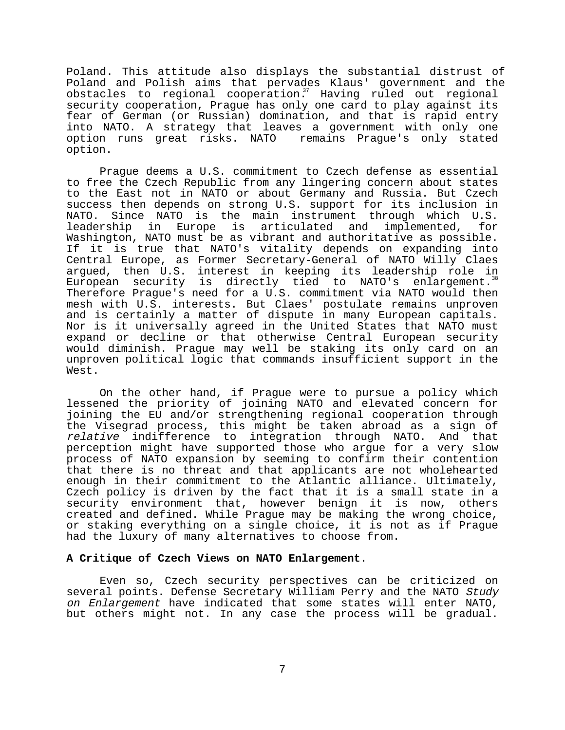Poland. This attitude also displays the substantial distrust of Poland and Polish aims that pervades Klaus' government and the  $obstacles$  to regional cooperation.<sup>37</sup> Having ruled out regional security cooperation, Prague has only one card to play against its fear of German (or Russian) domination, and that is rapid entry into NATO. A strategy that leaves a government with only one option runs great risks. NATO remains Prague's only stated option.

Prague deems a U.S. commitment to Czech defense as essential to free the Czech Republic from any lingering concern about states to the East not in NATO or about Germany and Russia. But Czech success then depends on strong U.S. support for its inclusion in NATO. Since NATO is the main instrument through which U.S. leadership in Europe is articulated and implemented, for Washington, NATO must be as vibrant and authoritative as possible. If it is true that NATO's vitality depends on expanding into Central Europe, as Former Secretary-General of NATO Willy Claes argued, then U.S. interest in keeping its leadership role in European security is directly tied to NATO's enlargement.<sup>38</sup> Therefore Prague's need for a U.S. commitment via NATO would then mesh with U.S. interests. But Claes' postulate remains unproven and is certainly a matter of dispute in many European capitals. Nor is it universally agreed in the United States that NATO must expand or decline or that otherwise Central European security would diminish. Prague may well be staking its only card on an unproven political logic that commands insufficient support in the West.

On the other hand, if Prague were to pursue a policy which lessened the priority of joining NATO and elevated concern for joining the EU and/or strengthening regional cooperation through the Visegrad process, this might be taken abroad as a sign of relative indifference to integration through NATO. And that perception might have supported those who argue for a very slow process of NATO expansion by seeming to confirm their contention that there is no threat and that applicants are not wholehearted enough in their commitment to the Atlantic alliance. Ultimately, Czech policy is driven by the fact that it is a small state in a security environment that, however benign it is now, others created and defined. While Prague may be making the wrong choice, or staking everything on a single choice, it is not as if Prague had the luxury of many alternatives to choose from.

# **A Critique of Czech Views on NATO Enlargement**.

Even so, Czech security perspectives can be criticized on several points. Defense Secretary William Perry and the NATO Study on Enlargement have indicated that some states will enter NATO, but others might not. In any case the process will be gradual.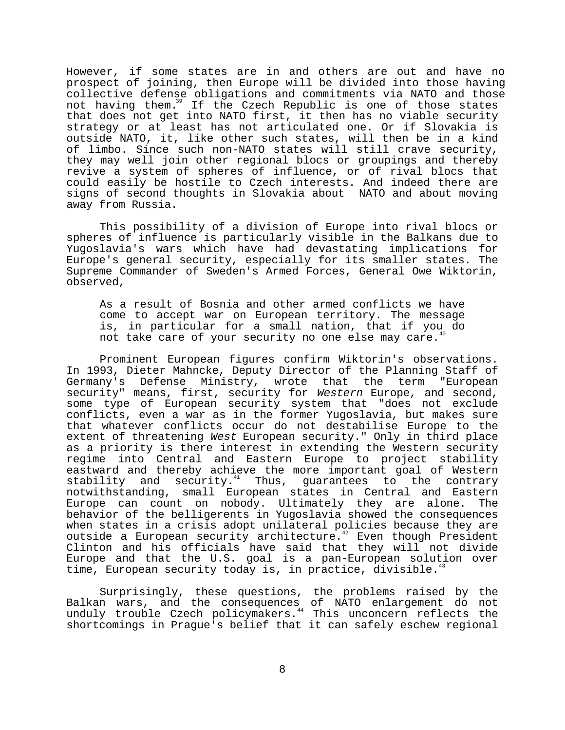However, if some states are in and others are out and have no prospect of joining, then Europe will be divided into those having collective defense obligations and commitments via NATO and those not having them.<sup>39</sup> If the Czech Republic is one of those states that does not get into NATO first, it then has no viable security strategy or at least has not articulated one. Or if Slovakia is outside NATO, it, like other such states, will then be in a kind of limbo. Since such non-NATO states will still crave security, they may well join other regional blocs or groupings and thereby revive a system of spheres of influence, or of rival blocs that could easily be hostile to Czech interests. And indeed there are signs of second thoughts in Slovakia about NATO and about moving away from Russia.

This possibility of a division of Europe into rival blocs or spheres of influence is particularly visible in the Balkans due to Yugoslavia's wars which have had devastating implications for Europe's general security, especially for its smaller states. The Supreme Commander of Sweden's Armed Forces, General Owe Wiktorin, observed,

As a result of Bosnia and other armed conflicts we have come to accept war on European territory. The message is, in particular for a small nation, that if you do not take care of your security no one else may care.<sup>4</sup>

Prominent European figures confirm Wiktorin's observations. In 1993, Dieter Mahncke, Deputy Director of the Planning Staff of Germany's Defense Ministry, wrote that the term "European security" means, first, security for Western Europe, and second, some type of European security system that "does not exclude conflicts, even a war as in the former Yugoslavia, but makes sure that whatever conflicts occur do not destabilise Europe to the extent of threatening West European security." Only in third place as a priority is there interest in extending the Western security regime into Central and Eastern Europe to project stability eastward and thereby achieve the more important goal of Western stability and security.<sup>41</sup> Thus, guarantees to the contrary notwithstanding, small European states in Central and Eastern Europe can count on nobody. Ultimately they are alone. The behavior of the belligerents in Yugoslavia showed the consequences when states in a crisis adopt unilateral policies because they are outside a European security architecture.<sup>42</sup> Even though President Clinton and his officials have said that they will not divide Europe and that the U.S. goal is a pan-European solution over time, European security today is, in practice, divisible.<sup>4</sup>

Surprisingly, these questions, the problems raised by the Balkan wars, and the consequences of NATO enlargement do not unduly trouble Czech policymakers.<sup>44</sup> This unconcern reflects the shortcomings in Prague's belief that it can safely eschew regional

8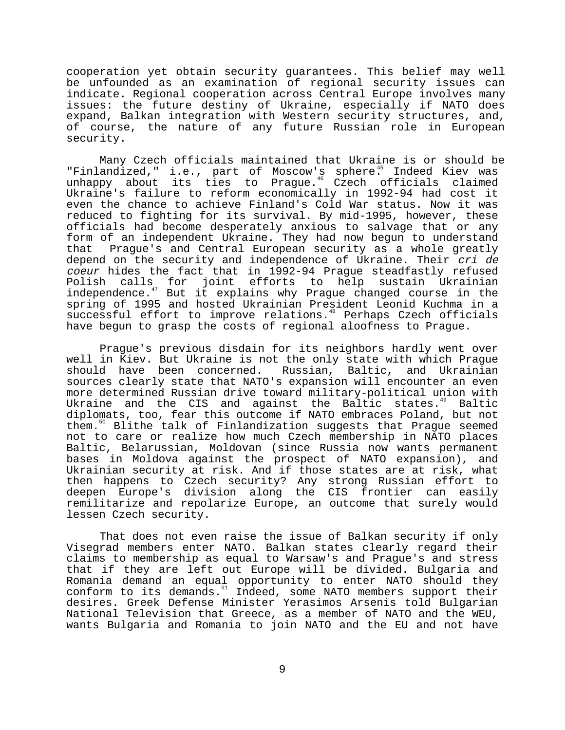cooperation yet obtain security guarantees. This belief may well be unfounded as an examination of regional security issues can indicate. Regional cooperation across Central Europe involves many issues: the future destiny of Ukraine, especially if NATO does expand, Balkan integration with Western security structures, and, of course, the nature of any future Russian role in European security.

Many Czech officials maintained that Ukraine is or should be "Finlandized," i.e., part of Moscow's sphere.<sup>45</sup> Indeed Kiev was unhappy about its ties to Prague.<sup>46</sup> Czech officials claimed Ukraine's failure to reform economically in 1992-94 had cost it even the chance to achieve Finland's Cold War status. Now it was reduced to fighting for its survival. By mid-1995, however, these officials had become desperately anxious to salvage that or any form of an independent Ukraine. They had now begun to understand that Prague's and Central European security as a whole greatly depend on the security and independence of Ukraine. Their cri de coeur hides the fact that in 1992-94 Prague steadfastly refused Polish calls for joint efforts to help sustain Ukrainian independence.<sup>47</sup> But it explains why Prague changed course in the spring of 1995 and hosted Ukrainian President Leonid Kuchma in a successful effort to improve relations.<sup>48</sup> Perhaps Czech officials have begun to grasp the costs of regional aloofness to Prague.

Prague's previous disdain for its neighbors hardly went over well in Kiev. But Ukraine is not the only state with which Prague should have been concerned. Russian, Baltic, and Ukrainian sources clearly state that NATO's expansion will encounter an even more determined Russian drive toward military-political union with Ukraine and the CIS and against the Baltic states.<sup>49</sup> Baltic diplomats, too, fear this outcome if NATO embraces Poland, but not them.<sup>50</sup> Blithe talk of Finlandization suggests that Prague seemed not to care or realize how much Czech membership in NATO places Baltic, Belarussian, Moldovan (since Russia now wants permanent bases in Moldova against the prospect of NATO expansion), and Ukrainian security at risk. And if those states are at risk, what then happens to Czech security? Any strong Russian effort to deepen Europe's division along the CIS frontier can easily remilitarize and repolarize Europe, an outcome that surely would lessen Czech security.

That does not even raise the issue of Balkan security if only Visegrad members enter NATO. Balkan states clearly regard their claims to membership as equal to Warsaw's and Prague's and stress that if they are left out Europe will be divided. Bulgaria and Romania demand an equal opportunity to enter NATO should they conform to its demands.<sup>51</sup> Indeed, some NATO members support their desires. Greek Defense Minister Yerasimos Arsenis told Bulgarian National Television that Greece, as a member of NATO and the WEU, wants Bulgaria and Romania to join NATO and the EU and not have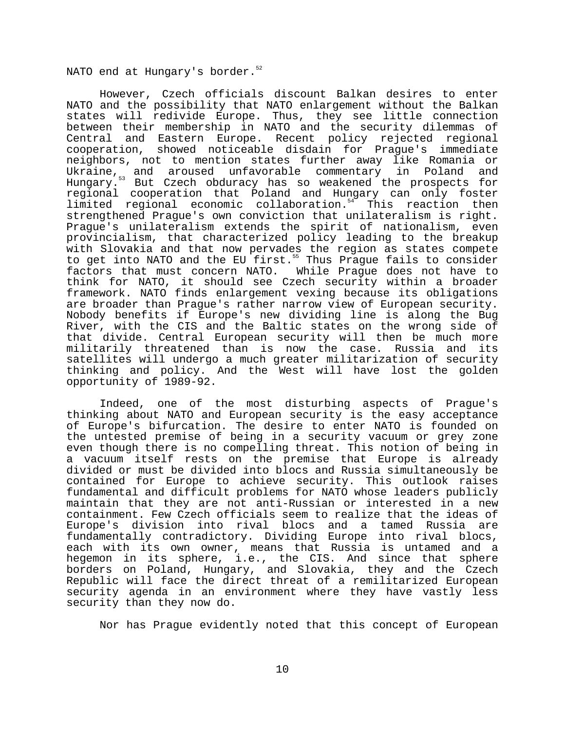NATO end at Hungary's border.<sup>52</sup>

However, Czech officials discount Balkan desires to enter NATO and the possibility that NATO enlargement without the Balkan states will redivide Europe. Thus, they see little connection between their membership in NATO and the security dilemmas of Central and Eastern Europe. Recent policy rejected regional cooperation, showed noticeable disdain for Prague's immediate neighbors, not to mention states further away like Romania or<br>Ukraine, and aroused unfavorable commentary in Poland and Ukraine, and aroused unfavorable commentary in Poland and Hungary.53 But Czech obduracy has so weakened the prospects for regional cooperation that Poland and Hungary can only foster limited regional economic collaboration.<sup>54</sup> This reaction then strengthened Prague's own conviction that unilateralism is right. Prague's unilateralism extends the spirit of nationalism, even provincialism, that characterized policy leading to the breakup with Slovakia and that now pervades the region as states compete to get into NATO and the EU first.<sup>55</sup> Thus Prague fails to consider factors that must concern NATO. While Prague does not have to think for NATO, it should see Czech security within a broader framework. NATO finds enlargement vexing because its obligations are broader than Prague's rather narrow view of European security. Nobody benefits if Europe's new dividing line is along the Bug River, with the CIS and the Baltic states on the wrong side of that divide. Central European security will then be much more militarily threatened than is now the case. Russia and its satellites will undergo a much greater militarization of security thinking and policy. And the West will have lost the golden opportunity of 1989-92.

Indeed, one of the most disturbing aspects of Prague's thinking about NATO and European security is the easy acceptance of Europe's bifurcation. The desire to enter NATO is founded on the untested premise of being in a security vacuum or grey zone even though there is no compelling threat. This notion of being in a vacuum itself rests on the premise that Europe is already divided or must be divided into blocs and Russia simultaneously be contained for Europe to achieve security. This outlook raises fundamental and difficult problems for NATO whose leaders publicly maintain that they are not anti-Russian or interested in a new containment. Few Czech officials seem to realize that the ideas of Europe's division into rival blocs and a tamed Russia are fundamentally contradictory. Dividing Europe into rival blocs, each with its own owner, means that Russia is untamed and a hegemon in its sphere, i.e., the CIS. And since that sphere borders on Poland, Hungary, and Slovakia, they and the Czech Republic will face the direct threat of a remilitarized European security agenda in an environment where they have vastly less security than they now do.

Nor has Prague evidently noted that this concept of European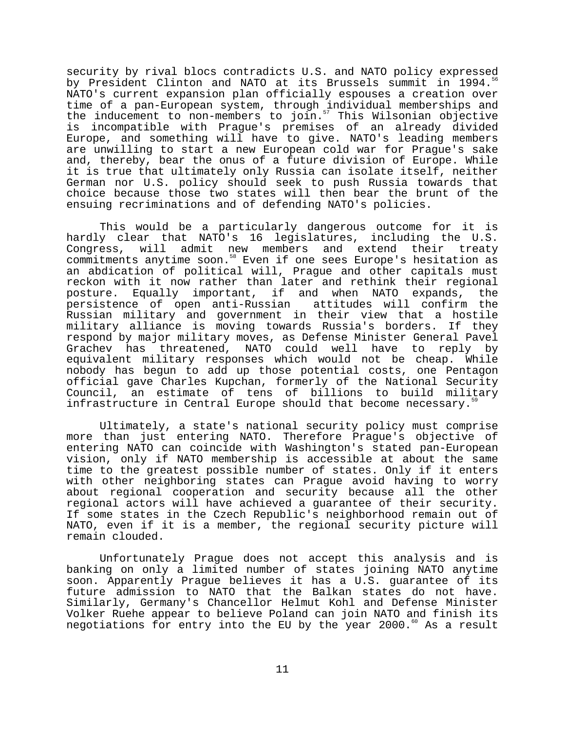security by rival blocs contradicts U.S. and NATO policy expressed by President Clinton and NATO at its Brussels summit in 1994.<sup>5</sup> NATO's current expansion plan officially espouses a creation over time of a pan-European system, through individual memberships and the inducement to non-members to join.<sup>57</sup> This Wilsonian objective is incompatible with Prague's premises of an already divided Europe, and something will have to give. NATO's leading members are unwilling to start a new European cold war for Prague's sake and, thereby, bear the onus of a future division of Europe. While it is true that ultimately only Russia can isolate itself, neither German nor U.S. policy should seek to push Russia towards that choice because those two states will then bear the brunt of the ensuing recriminations and of defending NATO's policies.

This would be a particularly dangerous outcome for it is hardly clear that NATO's 16 legislatures, including the U.S. Congress, will admit new members and extend their treaty commitments anytime soon.<sup>58</sup> Even if one sees Europe's hesitation as an abdication of political will, Prague and other capitals must reckon with it now rather than later and rethink their regional posture. Equally important, if and when NATO expands, the persistence of open anti-Russian attitudes will confirm the Russian military and government in their view that a hostile military alliance is moving towards Russia's borders. If they respond by major military moves, as Defense Minister General Pavel Grachev has threatened, NATO could well have to reply by equivalent military responses which would not be cheap. While nobody has begun to add up those potential costs, one Pentagon official gave Charles Kupchan, formerly of the National Security Council, an estimate of tens of billions to build military infrastructure in Central Europe should that become necessary.<sup>5</sup>

Ultimately, a state's national security policy must comprise more than just entering NATO. Therefore Prague's objective of entering NATO can coincide with Washington's stated pan-European vision, only if NATO membership is accessible at about the same time to the greatest possible number of states. Only if it enters with other neighboring states can Prague avoid having to worry about regional cooperation and security because all the other regional actors will have achieved a guarantee of their security. If some states in the Czech Republic's neighborhood remain out of NATO, even if it is a member, the regional security picture will remain clouded.

Unfortunately Prague does not accept this analysis and is banking on only a limited number of states joining NATO anytime soon. Apparently Prague believes it has a U.S. guarantee of its future admission to NATO that the Balkan states do not have. Similarly, Germany's Chancellor Helmut Kohl and Defense Minister Volker Ruehe appear to believe Poland can join NATO and finish its negotiations for entry into the EU by the year 2000. $60$  As a result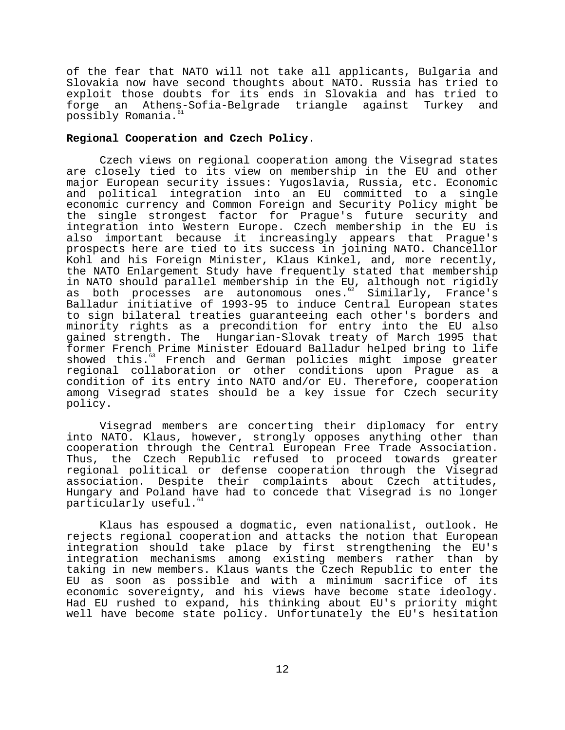of the fear that NATO will not take all applicants, Bulgaria and Slovakia now have second thoughts about NATO. Russia has tried to exploit those doubts for its ends in Slovakia and has tried to forge an Athens-Sofia-Belgrade triangle against Turkey and possibly Romania.<sup>61</sup>

### **Regional Cooperation and Czech Policy**.

Czech views on regional cooperation among the Visegrad states are closely tied to its view on membership in the EU and other major European security issues: Yugoslavia, Russia, etc. Economic and political integration into an EU committed to a single economic currency and Common Foreign and Security Policy might be the single strongest factor for Prague's future security and integration into Western Europe. Czech membership in the EU is also important because it increasingly appears that Prague's prospects here are tied to its success in joining NATO. Chancellor Kohl and his Foreign Minister, Klaus Kinkel, and, more recently, the NATO Enlargement Study have frequently stated that membership in NATO should parallel membership in the EU, although not rigidly<br>as both processes are autonomous ones.<sup>62</sup> Similarly, France's as both processes are autonomous ones. $62$ Balladur initiative of 1993-95 to induce Central European states to sign bilateral treaties guaranteeing each other's borders and minority rights as a precondition for entry into the EU also gained strength. The Hungarian-Slovak treaty of March 1995 that former French Prime Minister Edouard Balladur helped bring to life showed this.<sup>63</sup> French and German policies might impose greater regional collaboration or other conditions upon Prague as a condition of its entry into NATO and/or EU. Therefore, cooperation among Visegrad states should be a key issue for Czech security policy.

Visegrad members are concerting their diplomacy for entry into NATO. Klaus, however, strongly opposes anything other than cooperation through the Central European Free Trade Association. Thus, the Czech Republic refused to proceed towards greater regional political or defense cooperation through the Visegrad association. Despite their complaints about Czech attitudes, Hungary and Poland have had to concede that Visegrad is no longer particularly useful.<sup>64</sup>

Klaus has espoused a dogmatic, even nationalist, outlook. He rejects regional cooperation and attacks the notion that European integration should take place by first strengthening the EU's integration mechanisms among existing members rather than by taking in new members. Klaus wants the Czech Republic to enter the EU as soon as possible and with a minimum sacrifice of its economic sovereignty, and his views have become state ideology. Had EU rushed to expand, his thinking about EU's priority might well have become state policy. Unfortunately the EU's hesitation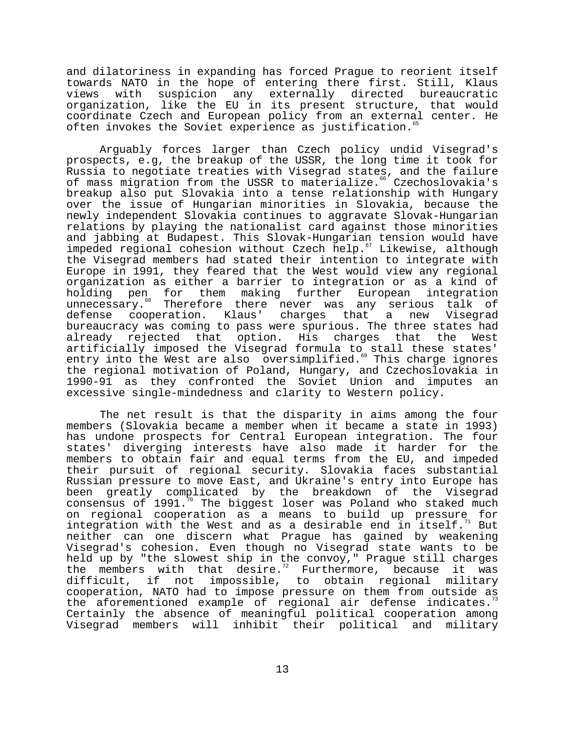and dilatoriness in expanding has forced Prague to reorient itself towards NATO in the hope of entering there first. Still, Klaus views with suspicion any externally directed bureaucratic organization, like the EU in its present structure, that would coordinate Czech and European policy from an external center. He often invokes the Soviet experience as justification.<sup>65</sup>

Arguably forces larger than Czech policy undid Visegrad's prospects, e.g, the breakup of the USSR, the long time it took for Russia to negotiate treaties with Visegrad states, and the failure of mass migration from the USSR to materialize.<sup>66</sup> Czechoslovakia's breakup also put Slovakia into a tense relationship with Hungary over the issue of Hungarian minorities in Slovakia, because the newly independent Slovakia continues to aggravate Slovak-Hungarian relations by playing the nationalist card against those minorities and jabbing at Budapest. This Slovak-Hungarian tension would have impeded regional cohesion without Czech help.<sup>67</sup> Likewise, although the Visegrad members had stated their intention to integrate with Europe in 1991, they feared that the West would view any regional organization as either a barrier to integration or as a kind of holding pen for them making further European integration unnecessary.<sup>88</sup> Therefore there never was any serious talk of<br>defense cooperation. Klaus' charges that a new Visegrad defense cooperation. Klaus' charges that a new Visegrad bureaucracy was coming to pass were spurious. The three states had already rejected that option. His charges that the West artificially imposed the Visegrad formula to stall these states' entry into the West are also oversimplified.<sup>69</sup> This charge ignores the regional motivation of Poland, Hungary, and Czechoslovakia in 1990-91 as they confronted the Soviet Union and imputes an excessive single-mindedness and clarity to Western policy.

The net result is that the disparity in aims among the four members (Slovakia became a member when it became a state in 1993) has undone prospects for Central European integration. The four states' diverging interests have also made it harder for the members to obtain fair and equal terms from the EU, and impeded their pursuit of regional security. Slovakia faces substantial Russian pressure to move East, and Ukraine's entry into Europe has been greatly complicated by the breakdown of the Visegrad consensus of  $1991.^{70}$  The biggest loser was Poland who staked much on regional cooperation as a means to build up pressure for integration with the West and as a desirable end in itself.<sup>71</sup> But integration with the West and as a desirable end in itself. neither can one discern what Prague has gained by weakening Visegrad's cohesion. Even though no Visegrad state wants to be held up by "the slowest ship in the convoy," Prague still charges the members with that desire.<sup>72</sup> Furthermore, because it was difficult, if not impossible, to obtain regional military cooperation, NATO had to impose pressure on them from outside as the aforementioned example of regional air defense indicates.<sup>7</sup> Certainly the absence of meaningful political cooperation among Visegrad members will inhibit their political and military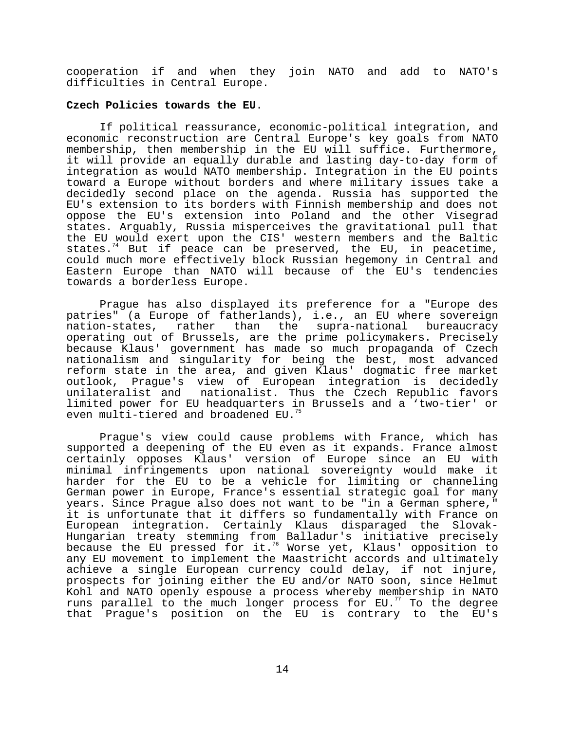cooperation if and when they join NATO and add to NATO's difficulties in Central Europe.

### **Czech Policies towards the EU**.

If political reassurance, economic-political integration, and economic reconstruction are Central Europe's key goals from NATO membership, then membership in the EU will suffice. Furthermore, it will provide an equally durable and lasting day-to-day form of integration as would NATO membership. Integration in the EU points toward a Europe without borders and where military issues take a decidedly second place on the agenda. Russia has supported the EU's extension to its borders with Finnish membership and does not oppose the EU's extension into Poland and the other Visegrad states. Arguably, Russia misperceives the gravitational pull that the EU would exert upon the CIS' western members and the Baltic states.<sup>74</sup> But if peace can be preserved, the EU, in peacetime, could much more effectively block Russian hegemony in Central and Eastern Europe than NATO will because of the EU's tendencies towards a borderless Europe.

Prague has also displayed its preference for a "Europe des patries" (a Europe of fatherlands), i.e., an EU where sovereign<br>nation-states, rather than the supra-national bureaucracy nation-states, rather than the supra-national bureaucracy operating out of Brussels, are the prime policymakers. Precisely because Klaus' government has made so much propaganda of Czech nationalism and singularity for being the best, most advanced reform state in the area, and given Klaus' dogmatic free market outlook, Prague's view of European integration is decidedly unilateralist and nationalist. Thus the Czech Republic favors limited power for EU headquarters in Brussels and a 'two-tier' or even multi-tiered and broadened EU.<sup>7</sup>

Prague's view could cause problems with France, which has supported a deepening of the EU even as it expands. France almost certainly opposes Klaus' version of Europe since an EU with minimal infringements upon national sovereignty would make it harder for the EU to be a vehicle for limiting or channeling German power in Europe, France's essential strategic goal for many years. Since Prague also does not want to be "in a German sphere," it is unfortunate that it differs so fundamentally with France on European integration. Certainly Klaus disparaged the Slovak-Hungarian treaty stemming from Balladur's initiative precisely because the EU pressed for it.76 Worse yet, Klaus' opposition to any EU movement to implement the Maastricht accords and ultimately achieve a single European currency could delay, if not injure, prospects for joining either the EU and/or NATO soon, since Helmut Kohl and NATO openly espouse a process whereby membership in NATO runs parallel to the much longer process for  $EU.^{77}$  To the degree that Prague's position on the EU is contrary to the EU's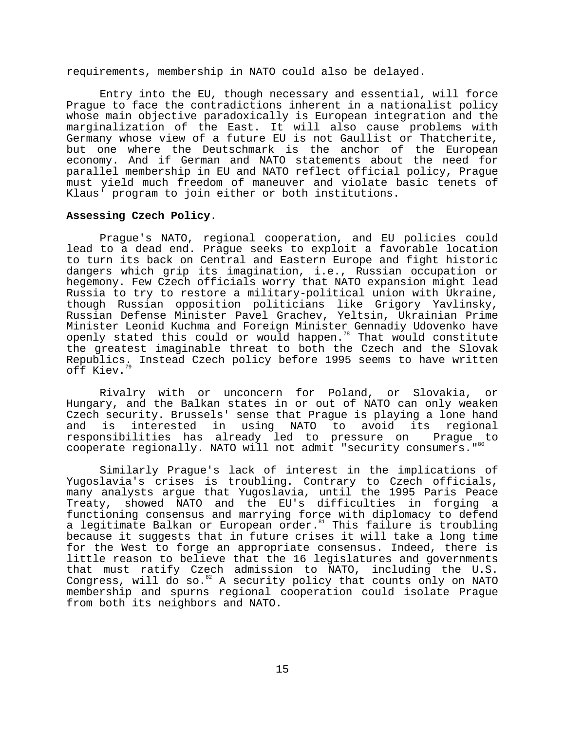requirements, membership in NATO could also be delayed.

Entry into the EU, though necessary and essential, will force Prague to face the contradictions inherent in a nationalist policy whose main objective paradoxically is European integration and the marginalization of the East. It will also cause problems with Germany whose view of a future EU is not Gaullist or Thatcherite, but one where the Deutschmark is the anchor of the European economy. And if German and NATO statements about the need for parallel membership in EU and NATO reflect official policy, Prague must yield much freedom of maneuver and violate basic tenets of Klaus' program to join either or both institutions.

#### **Assessing Czech Policy**.

Prague's NATO, regional cooperation, and EU policies could lead to a dead end. Prague seeks to exploit a favorable location to turn its back on Central and Eastern Europe and fight historic dangers which grip its imagination, i.e., Russian occupation or hegemony. Few Czech officials worry that NATO expansion might lead Russia to try to restore a military-political union with Ukraine, though Russian opposition politicians like Grigory Yavlinsky, Russian Defense Minister Pavel Grachev, Yeltsin, Ukrainian Prime Minister Leonid Kuchma and Foreign Minister Gennadiy Udovenko have openly stated this could or would happen.<sup>78</sup> That would constitute the greatest imaginable threat to both the Czech and the Slovak Republics. Instead Czech policy before 1995 seems to have written off Kiev.

Rivalry with or unconcern for Poland, or Slovakia, or Hungary, and the Balkan states in or out of NATO can only weaken Czech security. Brussels' sense that Prague is playing a lone hand<br>and is interested in using NATO to avoid its regional and is interested in using NATO to avoid its regional responsibilities has already led to pressure on Prague to cooperate regionally. NATO will not admit "security consumers."<sup>80</sup>

Similarly Prague's lack of interest in the implications of Yugoslavia's crises is troubling. Contrary to Czech officials, many analysts argue that Yugoslavia, until the 1995 Paris Peace Treaty, showed NATO and the EU's difficulties in forging a functioning consensus and marrying force with diplomacy to defend a legitimate Balkan or European order.<sup>81</sup> This failure is troubling because it suggests that in future crises it will take a long time for the West to forge an appropriate consensus. Indeed, there is little reason to believe that the 16 legislatures and governments that must ratify Czech admission to NATO, including the U.S. Congress, will do so. $^{82}$  A security policy that counts only on NATO membership and spurns regional cooperation could isolate Prague from both its neighbors and NATO.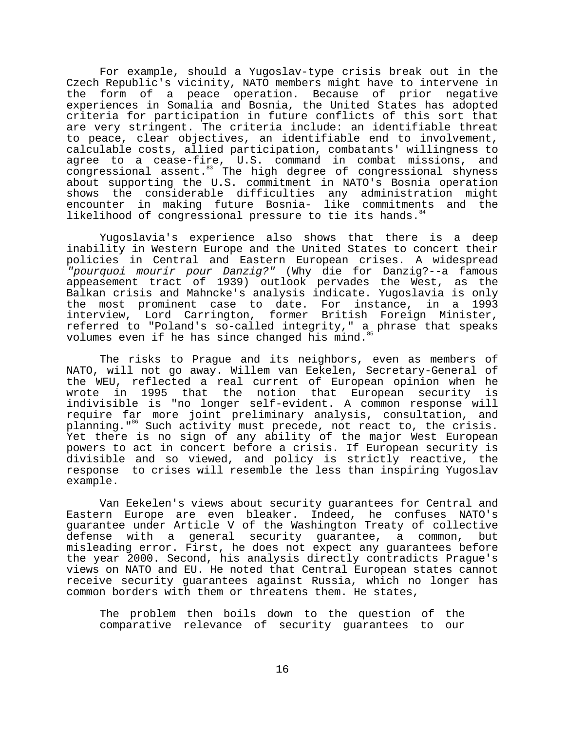For example, should a Yugoslav-type crisis break out in the Czech Republic's vicinity, NATO members might have to intervene in the form of a peace operation. Because of prior negative experiences in Somalia and Bosnia, the United States has adopted criteria for participation in future conflicts of this sort that are very stringent. The criteria include: an identifiable threat to peace, clear objectives, an identifiable end to involvement, calculable costs, allied participation, combatants' willingness to agree to a cease-fire, U.S. command in combat missions, and congressional assent.<sup>83</sup> The high degree of congressional shyness about supporting the U.S. commitment in NATO's Bosnia operation shows the considerable difficulties any administration might encounter in making future Bosnia- like commitments and the likelihood of congressional pressure to tie its hands.<sup>44</sup>

Yugoslavia's experience also shows that there is a deep inability in Western Europe and the United States to concert their policies in Central and Eastern European crises. A widespread "pourquoi mourir pour Danzig?" (Why die for Danzig?--a famous appeasement tract of 1939) outlook pervades the West, as the Balkan crisis and Mahncke's analysis indicate. Yugoslavia is only the most prominent case to date. For instance, in a 1993 interview, Lord Carrington, former British Foreign Minister, referred to "Poland's so-called integrity," a phrase that speaks volumes even if he has since changed his mind.

The risks to Prague and its neighbors, even as members of NATO, will not go away. Willem van Eekelen, Secretary-General of the WEU, reflected a real current of European opinion when he wrote in 1995 that the notion that European security is indivisible is "no longer self-evident. A common response will require far more joint preliminary analysis, consultation, and planning."<sup>86</sup> Such activity must precede, not react to, the crisis. Yet there is no sign of any ability of the major West European powers to act in concert before a crisis. If European security is divisible and so viewed, and policy is strictly reactive, the response to crises will resemble the less than inspiring Yugoslav example.

Van Eekelen's views about security guarantees for Central and Eastern Europe are even bleaker. Indeed, he confuses NATO's guarantee under Article V of the Washington Treaty of collective defense with a general security guarantee, a common, but misleading error. First, he does not expect any guarantees before the year 2000. Second, his analysis directly contradicts Prague's views on NATO and EU. He noted that Central European states cannot receive security guarantees against Russia, which no longer has common borders with them or threatens them. He states,

The problem then boils down to the question of the comparative relevance of security guarantees to our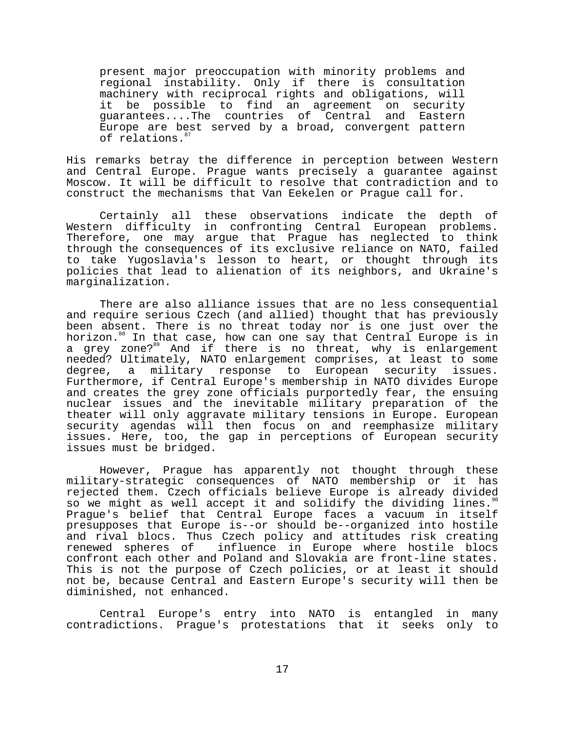present major preoccupation with minority problems and regional instability. Only if there is consultation machinery with reciprocal rights and obligations, will it be possible to find an agreement on security guarantees....The countries of Central and Eastern Europe are best served by a broad, convergent pattern of relations.<sup>8</sup>

His remarks betray the difference in perception between Western and Central Europe. Prague wants precisely a guarantee against Moscow. It will be difficult to resolve that contradiction and to construct the mechanisms that Van Eekelen or Prague call for.

Certainly all these observations indicate the depth of Western difficulty in confronting Central European problems. Therefore, one may argue that Prague has neglected to think through the consequences of its exclusive reliance on NATO, failed to take Yugoslavia's lesson to heart, or thought through its policies that lead to alienation of its neighbors, and Ukraine's marginalization.

There are also alliance issues that are no less consequential and require serious Czech (and allied) thought that has previously been absent. There is no threat today nor is one just over the horizon.<sup>88</sup> In that case, how can one say that Central Europe is in a grey zone?<sup>89</sup> And if there is no threat, why is enlargement needed? Ultimately, NATO enlargement comprises, at least to some<br>degree, a military response to European security issues. degree, a military response to European security Furthermore, if Central Europe's membership in NATO divides Europe and creates the grey zone officials purportedly fear, the ensuing nuclear issues and the inevitable military preparation of the theater will only aggravate military tensions in Europe. European security agendas will then focus on and reemphasize military issues. Here, too, the gap in perceptions of European security issues must be bridged.

However, Prague has apparently not thought through these military-strategic consequences of NATO membership or it has rejected them. Czech officials believe Europe is already divided so we might as well accept it and solidify the dividing lines. $90$ Prague's belief that Central Europe faces a vacuum in itself presupposes that Europe is--or should be--organized into hostile and rival blocs. Thus Czech policy and attitudes risk creating renewed spheres of influence in Europe where hostile blocs confront each other and Poland and Slovakia are front-line states. This is not the purpose of Czech policies, or at least it should not be, because Central and Eastern Europe's security will then be diminished, not enhanced.

Central Europe's entry into NATO is entangled in many contradictions. Prague's protestations that it seeks only to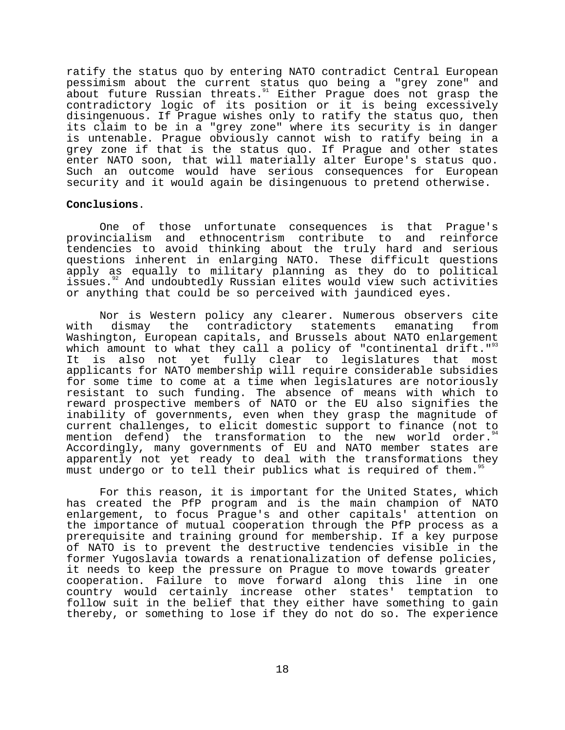ratify the status quo by entering NATO contradict Central European pessimism about the current status quo being a "grey zone" and about future Russian threats.<sup>91</sup> Either Praque does not grasp the contradictory logic of its position or it is being excessively disingenuous. If Prague wishes only to ratify the status quo, then its claim to be in a "grey zone" where its security is in danger is untenable. Prague obviously cannot wish to ratify being in a grey zone if that is the status quo. If Prague and other states enter NATO soon, that will materially alter Europe's status quo. Such an outcome would have serious consequences for European security and it would again be disingenuous to pretend otherwise.

### **Conclusions**.

One of those unfortunate consequences is that Prague's provincialism and ethnocentrism contribute to and reinforce tendencies to avoid thinking about the truly hard and serious questions inherent in enlarging NATO. These difficult questions apply as equally to military planning as they do to political issues.<sup>92</sup> And undoubtedly Russian elites would view such activities or anything that could be so perceived with jaundiced eyes.

Nor is Western policy any clearer. Numerous observers cite with dismay the contradictory statements emanating from Washington, European capitals, and Brussels about NATO enlargement which amount to what they call a policy of "continental drift." $^{93}$ It is also not yet fully clear to legislatures that most applicants for NATO membership will require considerable subsidies for some time to come at a time when legislatures are notoriously resistant to such funding. The absence of means with which to reward prospective members of NATO or the EU also signifies the inability of governments, even when they grasp the magnitude of current challenges, to elicit domestic support to finance (not to mention defend) the transformation to the new world order.<sup>94</sup> Accordingly, many governments of EU and NATO member states are apparently not yet ready to deal with the transformations they must undergo or to tell their publics what is required of them."

For this reason, it is important for the United States, which has created the PfP program and is the main champion of NATO enlargement, to focus Prague's and other capitals' attention on the importance of mutual cooperation through the PfP process as a prerequisite and training ground for membership. If a key purpose of NATO is to prevent the destructive tendencies visible in the former Yugoslavia towards a renationalization of defense policies, it needs to keep the pressure on Prague to move towards greater cooperation. Failure to move forward along this line in one country would certainly increase other states' temptation to follow suit in the belief that they either have something to gain thereby, or something to lose if they do not do so. The experience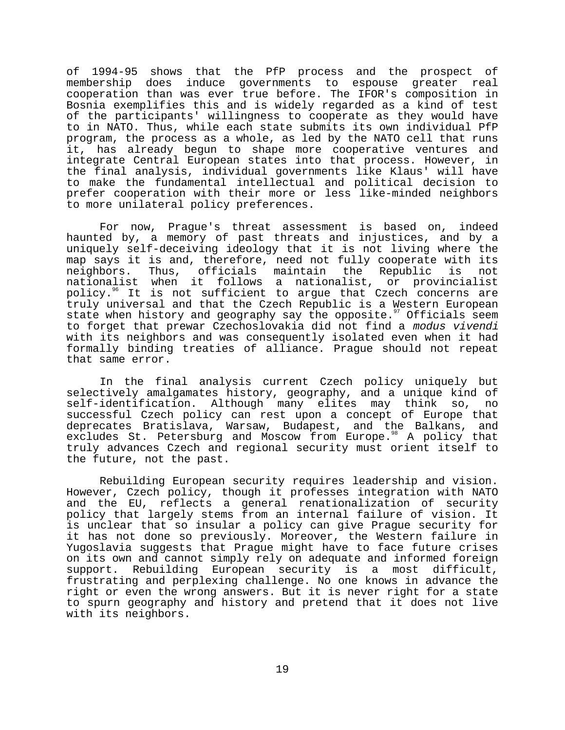of 1994-95 shows that the PfP process and the prospect of membership does induce governments to espouse greater real cooperation than was ever true before. The IFOR's composition in Bosnia exemplifies this and is widely regarded as a kind of test of the participants' willingness to cooperate as they would have to in NATO. Thus, while each state submits its own individual PfP program, the process as a whole, as led by the NATO cell that runs it, has already begun to shape more cooperative ventures and integrate Central European states into that process. However, in the final analysis, individual governments like Klaus' will have to make the fundamental intellectual and political decision to prefer cooperation with their more or less like-minded neighbors to more unilateral policy preferences.

For now, Prague's threat assessment is based on, indeed haunted by, a memory of past threats and injustices, and by a uniquely self-deceiving ideology that it is not living where the map says it is and, therefore, need not fully cooperate with its neighbors. Thus, officials maintain the Republic is not nationalist when it follows a nationalist, or provincialist policy.96 It is not sufficient to argue that Czech concerns are truly universal and that the Czech Republic is a Western European state when history and geography say the opposite.<sup>97</sup> Officials seem to forget that prewar Czechoslovakia did not find a modus vivendi with its neighbors and was consequently isolated even when it had formally binding treaties of alliance. Prague should not repeat that same error.

In the final analysis current Czech policy uniquely but selectively amalgamates history, geography, and a unique kind of self-identification. Although many elites may think so, no successful Czech policy can rest upon a concept of Europe that deprecates Bratislava, Warsaw, Budapest, and the Balkans, and excludes St. Petersburg and Moscow from Europe.<sup>38</sup> A policy that truly advances Czech and regional security must orient itself to the future, not the past.

Rebuilding European security requires leadership and vision. However, Czech policy, though it professes integration with NATO and the EU, reflects a general renationalization of security policy that largely stems from an internal failure of vision. It is unclear that so insular a policy can give Prague security for it has not done so previously. Moreover, the Western failure in Yugoslavia suggests that Prague might have to face future crises on its own and cannot simply rely on adequate and informed foreign support. Rebuilding European security is a most difficult, frustrating and perplexing challenge. No one knows in advance the right or even the wrong answers. But it is never right for a state to spurn geography and history and pretend that it does not live with its neighbors.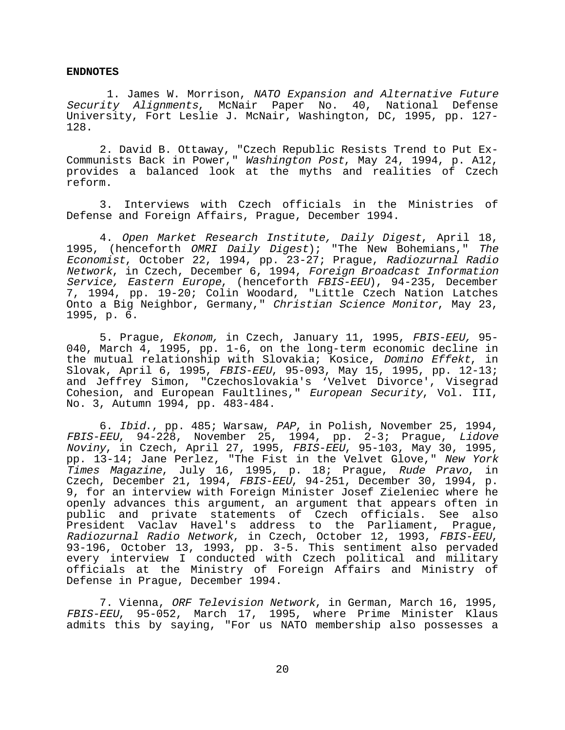#### **ENDNOTES**

 1. James W. Morrison, NATO Expansion and Alternative Future Security Alignments, McNair Paper No. 40, National Defense University, Fort Leslie J. McNair, Washington, DC, 1995, pp. 127- 128.

2. David B. Ottaway, "Czech Republic Resists Trend to Put Ex-Communists Back in Power," Washington Post, May 24, 1994, p. A12, provides a balanced look at the myths and realities of Czech reform.

3. Interviews with Czech officials in the Ministries of Defense and Foreign Affairs, Prague, December 1994.

4. Open Market Research Institute, Daily Digest, April 18, 1995, (henceforth OMRI Daily Digest); "The New Bohemians," The Economist, October 22, 1994, pp. 23-27; Prague, Radiozurnal Radio Network, in Czech, December 6, 1994, Foreign Broadcast Information Service, Eastern Europe, (henceforth FBIS-EEU), 94-235, December 7, 1994, pp. 19-20; Colin Woodard, "Little Czech Nation Latches Onto a Big Neighbor, Germany," Christian Science Monitor, May 23, 1995, p. 6.

5. Praque, Ekonom, in Czech, January 11, 1995, FBIS-EEU, 95-040, March 4, 1995, pp. 1-6, on the long-term economic decline in the mutual relationship with Slovakia; Kosice, Domino Effekt, in Slovak, April 6, 1995, FBIS-EEU, 95-093, May 15, 1995, pp. 12-13; and Jeffrey Simon, "Czechoslovakia's 'Velvet Divorce', Visegrad Cohesion, and European Faultlines," European Security, Vol. III, No. 3, Autumn 1994, pp. 483-484.

6. Ibid., pp. 485; Warsaw, PAP, in Polish, November 25, 1994, FBIS-EEU, 94-228, November 25, 1994, pp. 2-3; Prague, Lidove Noviny, in Czech, April 27, 1995, FBIS-EEU, 95-103, May 30, 1995, pp. 13-14; Jane Perlez, "The Fist in the Velvet Glove," New York Times Magazine, July 16, 1995, p. 18; Prague, Rude Pravo, in Czech, December 21, 1994, FBIS-EEU, 94-251, December 30, 1994, p. 9, for an interview with Foreign Minister Josef Zieleniec where he openly advances this argument, an argument that appears often in public and private statements of Czech officials. See also President Vaclav Havel's address to the Parliament, Prague, Radiozurnal Radio Network, in Czech, October 12, 1993, FBIS-EEU,<br>93-196, October 13, 1993, pp. 3-5. This sentiment also pervaded every interview I conducted with Czech political and military officials at the Ministry of Foreign Affairs and Ministry of Defense in Prague, December 1994.

7. Vienna, ORF Television Network, in German, March 16, 1995, FBIS-EEU, 95-052, March 17, 1995, where Prime Minister Klaus admits this by saying, "For us NATO membership also possesses a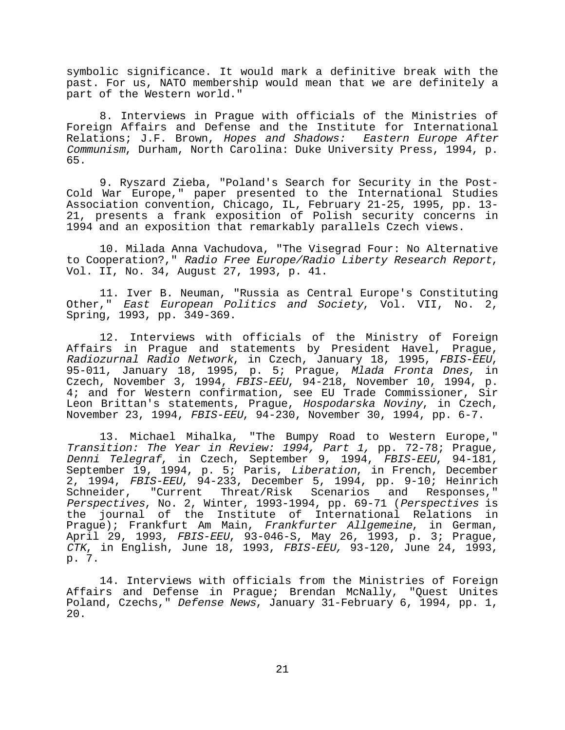symbolic significance. It would mark a definitive break with the past. For us, NATO membership would mean that we are definitely a part of the Western world."

8. Interviews in Prague with officials of the Ministries of Foreign Affairs and Defense and the Institute for International Relations; J.F. Brown, Hopes and Shadows: Eastern Europe After Communism, Durham, North Carolina: Duke University Press, 1994, p. 65.

9. Ryszard Zieba, "Poland's Search for Security in the Post-Cold War Europe," paper presented to the International Studies Association convention, Chicago, IL, February 21-25, 1995, pp. 13- 21, presents a frank exposition of Polish security concerns in 1994 and an exposition that remarkably parallels Czech views.

10. Milada Anna Vachudova, "The Visegrad Four: No Alternative to Cooperation?," Radio Free Europe/Radio Liberty Research Report, Vol. II, No. 34, August 27, 1993, p. 41.

11. Iver B. Neuman, "Russia as Central Europe's Constituting Other," East European Politics and Society, Vol. VII, No. 2, Spring, 1993, pp. 349-369.

12. Interviews with officials of the Ministry of Foreign Affairs in Prague and statements by President Havel, Prague, Radiozurnal Radio Network, in Czech, January 18, 1995, FBIS-EEU, 95-011, January 18, 1995, p. 5; Prague, Mlada Fronta Dnes, in Czech, November 3, 1994, FBIS-EEU, 94-218, November 10, 1994, p. 4; and for Western confirmation, see EU Trade Commissioner, Sir Leon Brittan's statements, Prague, Hospodarska Noviny, in Czech, November 23, 1994, FBIS-EEU, 94-230, November 30, 1994, pp. 6-7.

13. Michael Mihalka, "The Bumpy Road to Western Europe," Transition: The Year in Review: 1994, Part 1, pp. 72-78; Prague, Denni Telegraf, in Czech, September 9, 1994, FBIS-EEU, 94-181, September 19, 1994, p. 5; Paris, Liberation, in French, December 2, 1994, FBIS-EEU, 94-233, December 5, 1994, pp. 9-10; Heinrich Schneider, "Current Threat/Risk Scenarios and Responses," Perspectives, No. 2, Winter, 1993-1994, pp. 69-71 (Perspectives is the journal of the Institute of International Relations in Prague); Frankfurt Am Main, Frankfurter Allgemeine, in German, April 29, 1993, FBIS-EEU, 93-046-S, May 26, 1993, p. 3; Prague, CTK, in English, June 18, 1993, FBIS-EEU, 93-120, June 24, 1993, p. 7.

14. Interviews with officials from the Ministries of Foreign Affairs and Defense in Prague; Brendan McNally, "Quest Unites Poland, Czechs," Defense News, January 31-February 6, 1994, pp. 1, 20.

21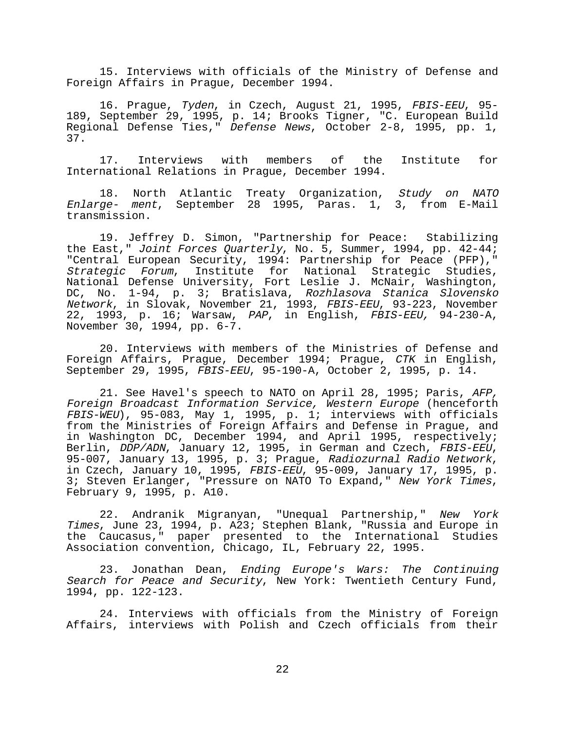15. Interviews with officials of the Ministry of Defense and Foreign Affairs in Prague, December 1994.

16. Prague, Tyden, in Czech, August 21, 1995, FBIS-EEU, 95-189, September 29, 1995, p. 14; Brooks Tigner, "C. European Build Regional Defense Ties," Defense News, October 2-8, 1995, pp. 1, 37.

17. Interviews with members of the Institute for International Relations in Prague, December 1994.

18. North Atlantic Treaty Organization, Study on NATO Enlarge- ment, September 28 1995, Paras. 1, 3, from E-Mail transmission.

19. Jeffrey D. Simon, "Partnership for Peace: Stabilizing the East," Joint Forces Quarterly, No. 5, Summer, 1994, pp. 42-44; "Central European Security, 1994: Partnership for Peace (PFP)," Strategic Forum, Institute for National Strategic Studies, National Defense University, Fort Leslie J. McNair, Washington, DC, No. 1-94, p. 3; Bratislava, Rozhlasova Stanica Slovensko Network, in Slovak, November 21, 1993, FBIS-EEU, 93-223, November 22, 1993, p. 16; Warsaw, PAP, in English, FBIS-EEU, 94-230-A, November 30, 1994, pp. 6-7.

20. Interviews with members of the Ministries of Defense and Foreign Affairs, Prague, December 1994; Prague, CTK in English, September 29, 1995, FBIS-EEU, 95-190-A, October 2, 1995, p. 14.

21. See Havel's speech to NATO on April 28, 1995; Paris, AFP, Foreign Broadcast Information Service, Western Europe (henceforth FBIS-WEU), 95-083, May 1, 1995, p. 1; interviews with officials from the Ministries of Foreign Affairs and Defense in Prague, and in Washington DC, December 1994, and April 1995, respectively; Berlin, DDP/ADN, January 12, 1995, in German and Czech, FBIS-EEU, 95-007, January 13, 1995, p. 3; Prague, Radiozurnal Radio Network, in Czech, January 10, 1995, FBIS-EEU, 95-009, January 17, 1995, p. 3; Steven Erlanger, "Pressure on NATO To Expand," New York Times, February 9, 1995, p. A10.

22. Andranik Migranyan, "Unequal Partnership," New York Times, June 23, 1994, p. A23; Stephen Blank, "Russia and Europe in<br>the Caucasus," paper presented to the International Studies Caucasus," paper presented to the International Studies Association convention, Chicago, IL, February 22, 1995.

23. Jonathan Dean, Ending Europe's Wars: The Continuing Search for Peace and Security, New York: Twentieth Century Fund, 1994, pp. 122-123.

24. Interviews with officials from the Ministry of Foreign Affairs, interviews with Polish and Czech officials from their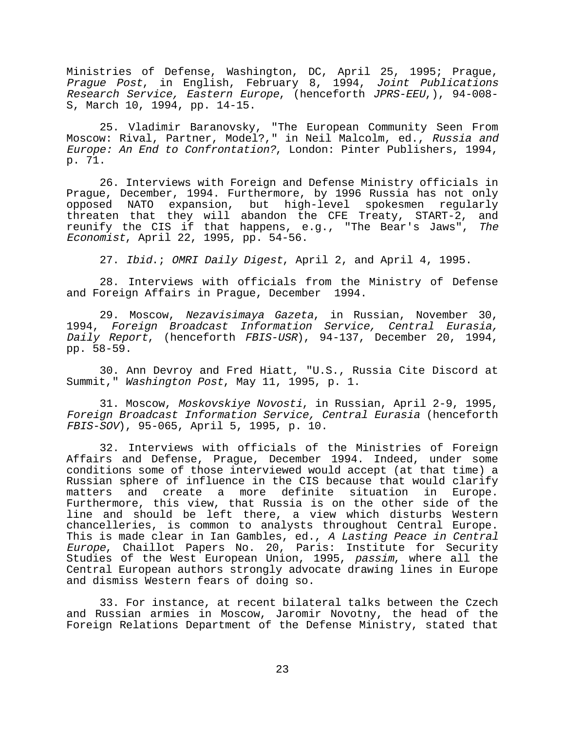Ministries of Defense, Washington, DC, April 25, 1995; Prague, Prague Post, in English, February 8, 1994, Joint Publications Research Service, Eastern Europe, (henceforth JPRS-EEU,), 94-008- S, March 10, 1994, pp. 14-15.

25. Vladimir Baranovsky, "The European Community Seen From Moscow: Rival, Partner, Model?," in Neil Malcolm, ed., Russia and Europe: An End to Confrontation?, London: Pinter Publishers, 1994, p. 71.

26. Interviews with Foreign and Defense Ministry officials in Prague, December, 1994. Furthermore, by 1996 Russia has not only opposed NATO expansion, but high-level spokesmen regularly threaten that they will abandon the CFE Treaty, START-2, and reunify the CIS if that happens, e.g., "The Bear's Jaws", The Economist, April 22, 1995, pp. 54-56.

27. Ibid.; OMRI Daily Digest, April 2, and April 4, 1995.

28. Interviews with officials from the Ministry of Defense and Foreign Affairs in Prague, December 1994.

29. Moscow, Nezavisimaya Gazeta, in Russian, November 30, 1994, Foreign Broadcast Information Service, Central Eurasia, Daily Report, (henceforth FBIS-USR), 94-137, December 20, 1994, pp. 58-59.

30. Ann Devroy and Fred Hiatt, "U.S., Russia Cite Discord at Summit," Washington Post, May 11, 1995, p. 1.

31. Moscow, Moskovskiye Novosti, in Russian, April 2-9, 1995, Foreign Broadcast Information Service, Central Eurasia (henceforth FBIS-SOV), 95-065, April 5, 1995, p. 10.

32. Interviews with officials of the Ministries of Foreign Affairs and Defense, Prague, December 1994. Indeed, under some conditions some of those interviewed would accept (at that time) a Russian sphere of influence in the CIS because that would clarify matters and create a more definite situation in Europe. Furthermore, this view, that Russia is on the other side of the line and should be left there, a view which disturbs Western chancelleries, is common to analysts throughout Central Europe. This is made clear in Ian Gambles, ed., A Lasting Peace in Central Europe, Chaillot Papers No. 20, Paris: Institute for Security Studies of the West European Union, 1995, passim, where all the Central European authors strongly advocate drawing lines in Europe and dismiss Western fears of doing so.

33. For instance, at recent bilateral talks between the Czech and Russian armies in Moscow, Jaromir Novotny, the head of the Foreign Relations Department of the Defense Ministry, stated that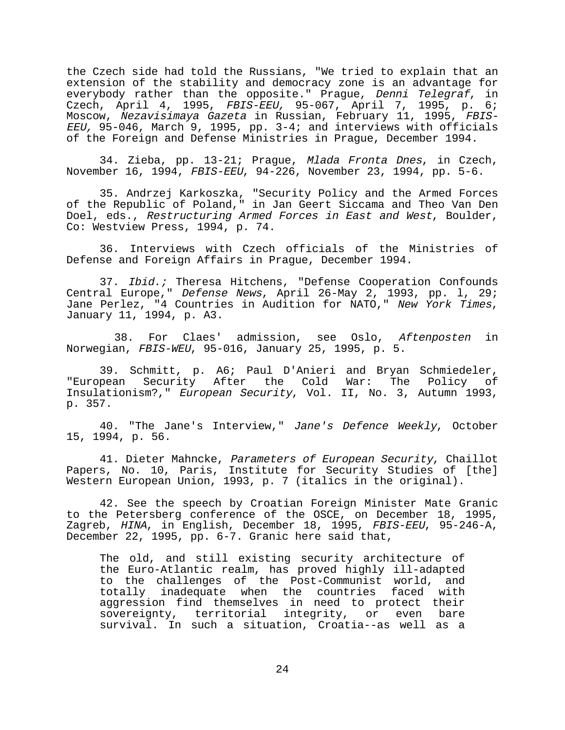the Czech side had told the Russians, "We tried to explain that an extension of the stability and democracy zone is an advantage for everybody rather than the opposite." Prague, Denni Telegraf, in Czech, April 4, 1995, FBIS-EEU, 95-067, April 7, 1995, p. 6; Moscow, *Nezavisimaya Gazeta* in Russian, February 11, 1995, *FBIS-*EEU, 95-046, March 9, 1995, pp. 3-4; and interviews with officials of the Foreign and Defense Ministries in Prague, December 1994.

34. Zieba, pp. 13-21; Prague, Mlada Fronta Dnes, in Czech, November 16, 1994, FBIS-EEU, 94-226, November 23, 1994, pp. 5-6.

35. Andrzej Karkoszka, "Security Policy and the Armed Forces of the Republic of Poland," in Jan Geert Siccama and Theo Van Den Doel, eds., Restructuring Armed Forces in East and West, Boulder, Co: Westview Press, 1994, p. 74.

36. Interviews with Czech officials of the Ministries of Defense and Foreign Affairs in Prague, December 1994.

37. Ibid.; Theresa Hitchens, "Defense Cooperation Confounds Central Europe," Defense News, April 26-May 2, 1993, pp. l, 29; Jane Perlez, "4 Countries in Audition for NATO," New York Times, January 11, 1994, p. A3.

 38. For Claes' admission, see Oslo, Aftenposten in Norwegian, FBIS-WEU, 95-016, January 25, 1995, p. 5.

39. Schmitt, p. A6; Paul D'Anieri and Bryan Schmiedeler, "European Security After the Cold War: The Policy of Insulationism?," European Security, Vol. II, No. 3, Autumn 1993, p. 357.

40. "The Jane's Interview," Jane's Defence Weekly, October 15, 1994, p. 56.

41. Dieter Mahncke, Parameters of European Security, Chaillot Papers, No. 10, Paris, Institute for Security Studies of [the] Western European Union, 1993, p. 7 (italics in the original).

42. See the speech by Croatian Foreign Minister Mate Granic to the Petersberg conference of the OSCE, on December 18, 1995, Zagreb, HINA, in English, December 18, 1995, FBIS-EEU, 95-246-A, December 22, 1995, pp. 6-7. Granic here said that,

The old, and still existing security architecture of the Euro-Atlantic realm, has proved highly ill-adapted to the challenges of the Post-Communist world, and totally inadequate when the countries faced with aggression find themselves in need to protect their sovereignty, territorial integrity, or even bare survival. In such a situation, Croatia--as well as a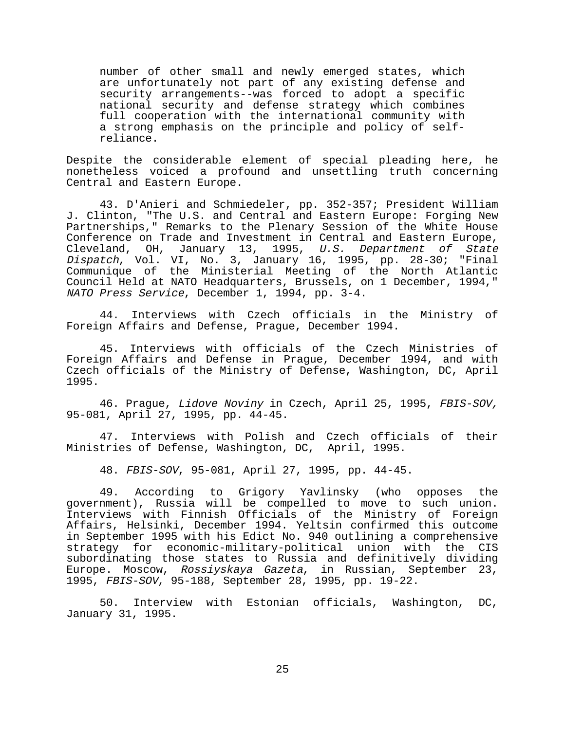number of other small and newly emerged states, which are unfortunately not part of any existing defense and security arrangements--was forced to adopt a specific national security and defense strategy which combines full cooperation with the international community with a strong emphasis on the principle and policy of selfreliance.

Despite the considerable element of special pleading here, he nonetheless voiced a profound and unsettling truth concerning Central and Eastern Europe.

43. D'Anieri and Schmiedeler, pp. 352-357; President William J. Clinton, "The U.S. and Central and Eastern Europe: Forging New Partnerships," Remarks to the Plenary Session of the White House Conference on Trade and Investment in Central and Eastern Europe, Cleveland, OH, January 13, 1995, U.S. Department of State Dispatch, Vol. VI, No. 3, January 16, 1995, pp. 28-30; "Final Communique of the Ministerial Meeting of the North Atlantic Council Held at NATO Headquarters, Brussels, on 1 December, 1994," NATO Press Service, December 1, 1994, pp. 3-4.

44. Interviews with Czech officials in the Ministry of Foreign Affairs and Defense, Prague, December 1994.

45. Interviews with officials of the Czech Ministries of Foreign Affairs and Defense in Prague, December 1994, and with Czech officials of the Ministry of Defense, Washington, DC, April 1995.

46. Prague, Lidove Noviny in Czech, April 25, 1995, FBIS-SOV, 95-081, April 27, 1995, pp. 44-45.

47. Interviews with Polish and Czech officials of their Ministries of Defense, Washington, DC, April, 1995.

48. FBIS-SOV, 95-081, April 27, 1995, pp. 44-45.

49. According to Grigory Yavlinsky (who opposes the government), Russia will be compelled to move to such union. Interviews with Finnish Officials of the Ministry of Foreign Affairs, Helsinki, December 1994. Yeltsin confirmed this outcome in September 1995 with his Edict No. 940 outlining a comprehensive strategy for economic-military-political union with the CIS subordinating those states to Russia and definitively dividing Europe. Moscow, Rossiyskaya Gazeta, in Russian, September 23, 1995, FBIS-SOV, 95-188, September 28, 1995, pp. 19-22.

50. Interview with Estonian officials, Washington, DC, January 31, 1995.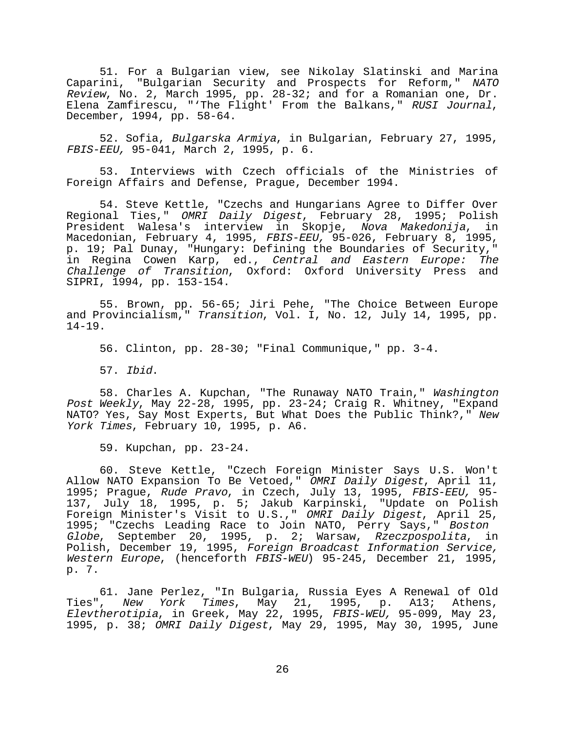51. For a Bulgarian view, see Nikolay Slatinski and Marina Caparini, "Bulgarian Security and Prospects for Reform," NATO Review, No. 2, March 1995, pp. 28-32; and for a Romanian one, Dr. Elena Zamfirescu, "'The Flight' From the Balkans," RUSI Journal, December, 1994, pp. 58-64.

52. Sofia, Bulgarska Armiya, in Bulgarian, February 27, 1995, FBIS-EEU, 95-041, March 2, 1995, p. 6.

53. Interviews with Czech officials of the Ministries of Foreign Affairs and Defense, Prague, December 1994.

54. Steve Kettle, "Czechs and Hungarians Agree to Differ Over Regional Ties," OMRI Daily Digest, February 28, 1995; Polish President Walesa's interview in Skopje, Nova Makedonija, in Macedonian, February 4, 1995, FBIS-EEU, 95-026, February 8, 1995, p. 19; Pal Dunay, "Hungary: Defining the Boundaries of Security," in Regina Cowen Karp, ed., Central and Eastern Europe: The Challenge of Transition, Oxford: Oxford University Press and SIPRI, 1994, pp. 153-154.

55. Brown, pp. 56-65; Jiri Pehe, "The Choice Between Europe and Provincialism," Transition, Vol. I, No. 12, July 14, 1995, pp. 14-19.

56. Clinton, pp. 28-30; "Final Communique," pp. 3-4.

57. Ibid.

58. Charles A. Kupchan, "The Runaway NATO Train," Washington Post Weekly, May 22-28, 1995, pp. 23-24; Craig R. Whitney, "Expand NATO? Yes, Say Most Experts, But What Does the Public Think?," New York Times, February 10, 1995, p. A6.

59. Kupchan, pp. 23-24.

60. Steve Kettle, "Czech Foreign Minister Says U.S. Won't Allow NATO Expansion To Be Vetoed," OMRI Daily Digest, April 11, 1995; Prague, Rude Pravo, in Czech, July 13, 1995, FBIS-EEU, 95-137, July 18, 1995, p. 5; Jakub Karpinski, "Update on Polish Foreign Minister's Visit to U.S.," OMRI Daily Digest, April 25, 1995; "Czechs Leading Race to Join NATO, Perry Says," Boston Globe, September 20, 1995, p. 2; Warsaw, Rzeczpospolita, in Polish, December 19, 1995, Foreign Broadcast Information Service, Western Europe, (henceforth FBIS-WEU) 95-245, December 21, 1995, p. 7.

61. Jane Perlez, "In Bulgaria, Russia Eyes A Renewal of Old Ties", *New York Times*, May 21, 1995, p. A13; Athens, Elevtherotipia, in Greek, May 22, 1995, FBIS-WEU, 95-099, May 23, 1995, p. 38; OMRI Daily Digest, May 29, 1995, May 30, 1995, June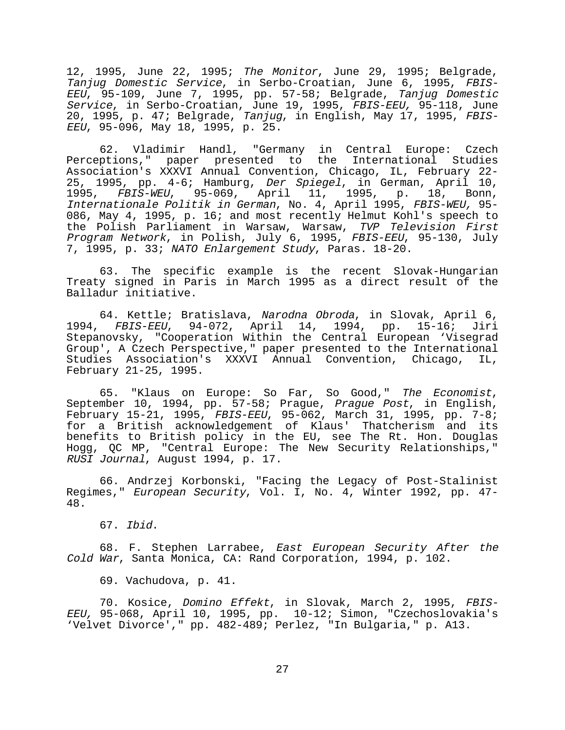12, 1995, June 22, 1995; The Monitor, June 29, 1995; Belgrade, Tanjug Domestic Service, in Serbo-Croatian, June 6, 1995, FBIS-EEU, 95-109, June 7, 1995, pp. 57-58; Belgrade, Tanjug Domestic Service, in Serbo-Croatian, June 19, 1995, FBIS-EEU, 95-118, June 20, 1995, p. 47; Belgrade, Tanjug, in English, May 17, 1995, FBIS-EEU, 95-096, May 18, 1995, p. 25.

62. Vladimir Handl, "Germany in Central Europe: Czech Perceptions," paper presented to the International Studies Association's XXXVI Annual Convention, Chicago, IL, February 22- 25, 1995, pp. 4-6; Hamburg, Der Spiegel, in German, April 10, 1995, FBIS-WEU, 95-069, April 11, 1995, p. 18, Bonn, Internationale Politik in German, No. 4, April 1995, FBIS-WEU, 95- 086, May 4, 1995, p. 16; and most recently Helmut Kohl's speech to the Polish Parliament in Warsaw, Warsaw, TVP Television First Program Network, in Polish, July 6, 1995, FBIS-EEU, 95-130, July 7, 1995, p. 33; NATO Enlargement Study, Paras. 18-20.

63. The specific example is the recent Slovak-Hungarian Treaty signed in Paris in March 1995 as a direct result of the Balladur initiative.

64. Kettle; Bratislava, Narodna Obroda, in Slovak, April 6, 1994, FBIS-EEU, 94-072, April 14, 1994, pp. 15-16; Jiri Stepanovsky, "Cooperation Within the Central European 'Visegrad Group', A Czech Perspective," paper presented to the International Studies Association's XXXVI Annual Convention, Chicago, IL, February 21-25, 1995.

65. "Klaus on Europe: So Far, So Good," The Economist, September 10, 1994, pp. 57-58; Prague, Prague Post, in English, February 15-21, 1995, FBIS-EEU, 95-062, March 31, 1995, pp. 7-8; for a British acknowledgement of Klaus' Thatcherism and its benefits to British policy in the EU, see The Rt. Hon. Douglas Hogg, QC MP, "Central Europe: The New Security Relationships," RUSI Journal, August 1994, p. 17.

66. Andrzej Korbonski, "Facing the Legacy of Post-Stalinist Regimes," European Security, Vol. I, No. 4, Winter 1992, pp. 47- 48.

67. Ibid.

68. F. Stephen Larrabee, East European Security After the Cold War, Santa Monica, CA: Rand Corporation, 1994, p. 102.

69. Vachudova, p. 41.

70. Kosice, Domino Effekt, in Slovak, March 2, 1995, FBIS-EEU, 95-068, April 10, 1995, pp. 10-12; Simon, "Czechoslovakia's 'Velvet Divorce'," pp. 482-489; Perlez, "In Bulgaria," p. A13.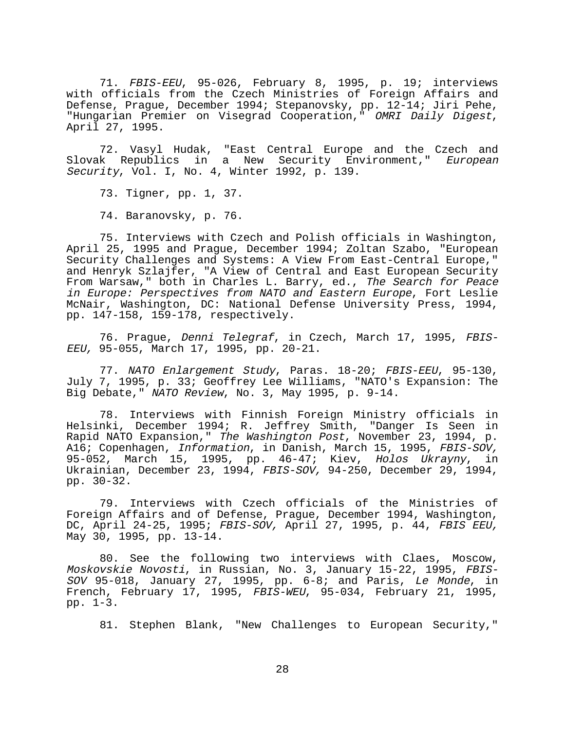71. FBIS-EEU, 95-026, February 8, 1995, p. 19; interviews with officials from the Czech Ministries of Foreign Affairs and Defense, Prague, December 1994; Stepanovsky, pp. 12-14; Jiri Pehe, "Hungarian Premier on Visegrad Cooperation," OMRI Daily Digest, April 27, 1995.

72. Vasyl Hudak, "East Central Europe and the Czech and Slovak Republics in a New Security Environment," European Security, Vol. I, No. 4, Winter 1992, p. 139.

73. Tigner, pp. 1, 37.

74. Baranovsky, p. 76.

75. Interviews with Czech and Polish officials in Washington, April 25, 1995 and Prague, December 1994; Zoltan Szabo, "European Security Challenges and Systems: A View From East-Central Europe," and Henryk Szlajfer, "A View of Central and East European Security From Warsaw," both in Charles L. Barry, ed., The Search for Peace in Europe: Perspectives from NATO and Eastern Europe, Fort Leslie McNair, Washington, DC: National Defense University Press, 1994, pp. 147-158, 159-178, respectively.

76. Prague, Denni Telegraf, in Czech, March 17, 1995, FBIS-EEU, 95-055, March 17, 1995, pp. 20-21.

77. NATO Enlargement Study, Paras. 18-20; FBIS-EEU, 95-130, July 7, 1995, p. 33; Geoffrey Lee Williams, "NATO's Expansion: The Big Debate," NATO Review, No. 3, May 1995, p. 9-14.

78. Interviews with Finnish Foreign Ministry officials in Helsinki, December 1994; R. Jeffrey Smith, "Danger Is Seen in Rapid NATO Expansion," The Washington Post, November 23, 1994, p. A16; Copenhagen, Information, in Danish, March 15, 1995, FBIS-SOV, 95-052, March 15, 1995, pp. 46-47; Kiev, Holos Ukrayny, in Ukrainian, December 23, 1994, FBIS-SOV, 94-250, December 29, 1994, pp. 30-32.

79. Interviews with Czech officials of the Ministries of Foreign Affairs and of Defense, Prague, December 1994, Washington, DC, April 24-25, 1995; FBIS-SOV, April 27, 1995, p. 44, FBIS EEU, May 30, 1995, pp. 13-14.

80. See the following two interviews with Claes, Moscow, Moskovskie Novosti, in Russian, No. 3, January 15-22, 1995, FBIS-SOV 95-018, January 27, 1995, pp. 6-8; and Paris, Le Monde, in French, February 17, 1995, FBIS-WEU, 95-034, February 21, 1995, pp. 1-3.

81. Stephen Blank, "New Challenges to European Security,"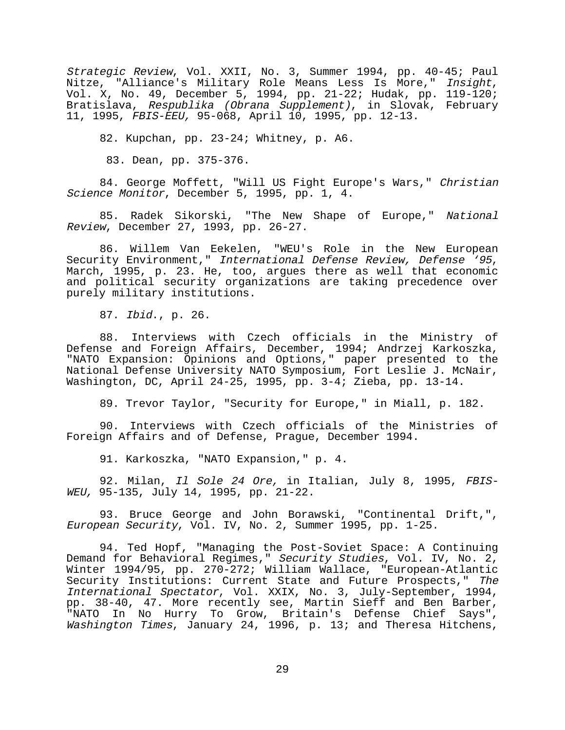Strategic Review, Vol. XXII, No. 3, Summer 1994, pp. 40-45; Paul Nitze, "Alliance's Military Role Means Less Is More," Insight, Vol. X, No. 49, December 5, 1994, pp. 21-22; Hudak, pp. 119-120; Bratislava, Respublika (Obrana Supplement), in Slovak, February 11, 1995, FBIS-EEU, 95-068, April 10, 1995, pp. 12-13.

82. Kupchan, pp. 23-24; Whitney, p. A6.

83. Dean, pp. 375-376.

84. George Moffett, "Will US Fight Europe's Wars," Christian Science Monitor, December 5, 1995, pp. 1, 4.

85. Radek Sikorski, "The New Shape of Europe," National Review, December 27, 1993, pp. 26-27.

86. Willem Van Eekelen, "WEU's Role in the New European Security Environment," International Defense Review, Defense '95, March, 1995, p. 23. He, too, argues there as well that economic and political security organizations are taking precedence over purely military institutions.

87. Ibid., p. 26.

88. Interviews with Czech officials in the Ministry of Defense and Foreign Affairs, December, 1994; Andrzej Karkoszka, "NATO Expansion: Opinions and Options," paper presented to the National Defense University NATO Symposium, Fort Leslie J. McNair, Washington, DC, April 24-25, 1995, pp. 3-4; Zieba, pp. 13-14.

89. Trevor Taylor, "Security for Europe," in Miall, p. 182.

90. Interviews with Czech officials of the Ministries of Foreign Affairs and of Defense, Prague, December 1994.

91. Karkoszka, "NATO Expansion," p. 4.

92. Milan, Il Sole 24 Ore, in Italian, July 8, 1995, FBIS-WEU, 95-135, July 14, 1995, pp. 21-22.

93. Bruce George and John Borawski, "Continental Drift,", European Security, Vol. IV, No. 2, Summer 1995, pp. 1-25.

94. Ted Hopf, "Managing the Post-Soviet Space: A Continuing Demand for Behavioral Regimes," Security Studies, Vol. IV, No. 2, Winter 1994/95, pp. 270-272; William Wallace, "European-Atlantic Security Institutions: Current State and Future Prospects," The International Spectator, Vol. XXIX, No. 3, July-September, 1994, pp. 38-40, 47. More recently see, Martin Sieff and Ben Barber, "NATO In No Hurry To Grow, Britain's Defense Chief Says", Washington Times, January 24, 1996, p. 13; and Theresa Hitchens,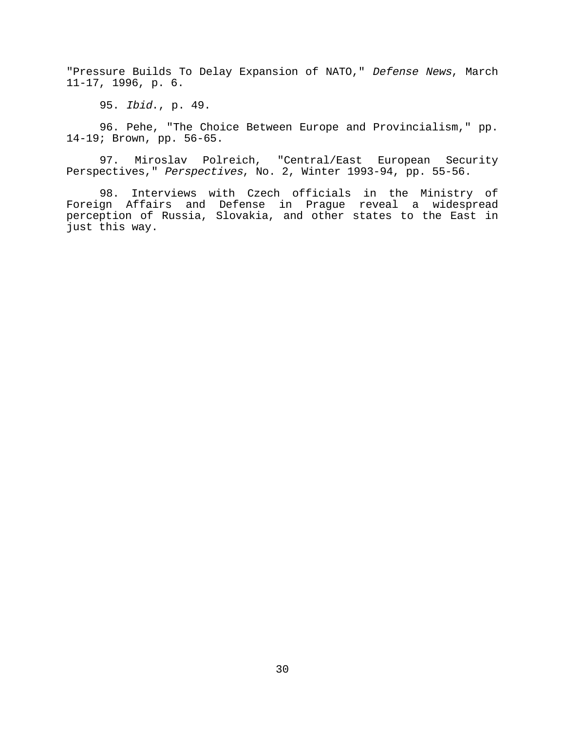"Pressure Builds To Delay Expansion of NATO," Defense News, March 11-17, 1996, p. 6.

95. Ibid., p. 49.

96. Pehe, "The Choice Between Europe and Provincialism," pp. 14-19; Brown, pp. 56-65.

97. Miroslav Polreich, "Central/East European Security Perspectives," Perspectives, No. 2, Winter 1993-94, pp. 55-56.

98. Interviews with Czech officials in the Ministry of Foreign Affairs and Defense in Prague reveal a widespread perception of Russia, Slovakia, and other states to the East in just this way.